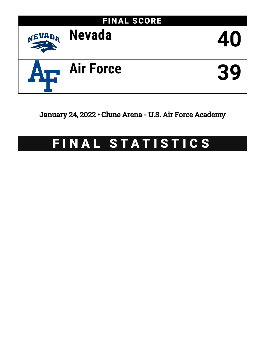

January 24, 2022 • Clune Arena - U.S. Air Force Academy

# FINAL STATISTICS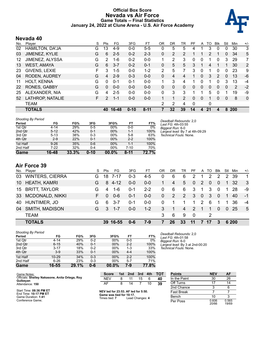### **Official Box Score Nevada vs Air Force Game Totals -- Final Statistics January 24, 2022 at Clune Arena - U.S. Air Force Academy**



# **Nevada 40**

| No. | Plaver                 | S  | Pts           | FG      | 3FG      | FT.      | 0R | DR             | TR             | PF | A        | TO            | <b>B</b> lk  | Stl          | Min | $+/-$          |
|-----|------------------------|----|---------------|---------|----------|----------|----|----------------|----------------|----|----------|---------------|--------------|--------------|-----|----------------|
| 02  | <b>HAMILTON, DA'JA</b> | G  | 13            | $4 - 9$ | $0-0$    | $5 - 5$  | 0  | 5              | 5              | 4  |          | 3             | 0            | 0            | 30  | 3              |
| 03  | JIMENEZ, KYLIE         | G  | 6             | $2 - 5$ | $0 - 2$  | $2 - 3$  | 0  | 2              | $\overline{2}$ |    |          | $\mathcal{P}$ |              | $\mathbf{0}$ | 34  | 5              |
| 12  | JIMENEZ, ALYSSA        | G  | 2             | $1 - 6$ | $0 - 2$  | $0 - 0$  | 1  | 2              | 3              | 0  | 0        |               | 0            | 3            | 29  | 7              |
| 13  | <b>WEST, AMAYA</b>     | G  | 6             | $3 - 7$ | $0 - 2$  | $0 - 1$  | 0  | 5              | 5              | 3  |          | 4             |              |              | 30  | $\overline{2}$ |
| 23  | GIVENS, LEXIE          | F  | 3             | $1 - 5$ | $0 - 0$  | $1 - 2$  | 2  | 5              | 7              | 3  | 0        | 1             | 0            | 0            | 23  | 9              |
| 04  | RODEN, AUDREY          | G  | 4             | $2-9$   | $0 - 3$  | $0 - 0$  | 0  | 4              | 4              |    | $\Omega$ | 3             | 2            | $\Omega$     | 13  | -6             |
| 11  | <b>HOLT, KENNA</b>     | G  | $\Omega$      | $0 - 1$ | $0 - 1$  | $0 - 0$  |    | 3              | 4              |    | 0        |               | 0            | 3            | 13  | $-4$           |
| 22  | <b>RONES, GABBY</b>    | G  | $\Omega$      | $0 - 0$ | $0 - 0$  | $0 - 0$  | 0  | 0              | 0              | 0  | 0        | 0             | $\mathbf{0}$ | 0            | 2   | $-2$           |
| 25  | ALEXANDER, NIA         | G  | 4             | $2 - 5$ | $0 - 0$  | $0 - 0$  | 0  | 3              | 3              |    |          | 5             | 0            |              | 19  | -9             |
| 52  | LATHROP, NATALIE       | F. | $\mathcal{P}$ | $1 - 1$ | $0 - 0$  | $0 - 0$  |    | 1              | $\overline{2}$ | 0  | 0        |               | 0            | 0            | 8   | $\mathbf 0$    |
|     | TEAM                   |    |               |         |          |          | 2  | $\overline{2}$ | 4              | 0  |          | 0             |              |              |     |                |
|     | <b>TOTALS</b>          |    | 40            | 16-48   | $0 - 10$ | $8 - 11$ | 7  | 32             | 39             | 14 | 4        | 21            | 4            | 8            | 200 |                |

| <b>Shooting By Period</b> |          |       |          |       |         |       | Deadball Rebounds: 2,0    |
|---------------------------|----------|-------|----------|-------|---------|-------|---------------------------|
| Period                    | FG       | FG%   | 3FG      | 3FG%  | FT      | FT%   | Last FG: 4th-03:55        |
| 1st Qtr                   | $4 - 14$ | 29%   | $0 - 5$  | 00%   | $0-0$   | 0%    | Biggest Run: 6-0          |
| 2nd Qtr                   | $5 - 12$ | 42%   | $0 - 1$  | 00%   | 1-1     | 100%  | Largest lead: By 7 at 4th |
| 3rd Qtr                   | $5 - 13$ | 38%   | $0 - 3$  | 00%   | $5-8$   | 63%   | Technical Fouls: None.    |
| 4th Qtr                   | $2 - 9$  | 22%   | $0 - 1$  | 00%   | $2 - 2$ | 100%  |                           |
| 1st Half                  | $9 - 26$ | 35%   | $0 - 6$  | 00%   | 1-1     | 100%  |                           |
| 2nd Half                  | 7-22     | 32%   | $0 - 4$  | 00%   | 7-10    | 70%   |                           |
| <b>Game</b>               | 16-48    | 33.3% | $0 - 10$ | 00.0% | $8-11$  | 72.7% |                           |

**Air Force 39**

|    | No. Player             | S. | Pts      | FG       | 3FG     | FТ      | <b>OR</b>    | DR.         | TR             | <b>PF</b>       |                | A TO           | Blk            | Stl            | Min   | $+/-$        |
|----|------------------------|----|----------|----------|---------|---------|--------------|-------------|----------------|-----------------|----------------|----------------|----------------|----------------|-------|--------------|
| 03 | <b>WINTERS, CIERRA</b> | G. |          | 18 7-17  | $0 - 3$ | $4-5$   | 0            | 6           | 6              | 2               | 1.             | 2              | 2              | 2              | -39   | $\mathbf 1$  |
|    | 10 HEATH, KAMRI        | G. |          | $84-12$  | $0 - 0$ | $0 - 0$ | 1.           | 4           | 5              | $\mathbf{0}$    | 2              | $\overline{0}$ | 0              | $\mathbf{1}$   | -32   | $\mathbf{3}$ |
|    | 15 BRITT, TAYLOR       | G. | 4        | -1-6     | $0 - 1$ | $2 - 2$ | $\mathbf{0}$ | 6           | 6              | 3               | $\overline{1}$ | 3              | $\Omega$       | 1              | -28   | -9           |
|    | 33 MCDONALD, NIKKI     | F. | $\Omega$ | $0 - 6$  | $0 - 1$ | $0 - 0$ | $\mathbf{0}$ | 2           | 2              | $\mathbf{3}$    | $\overline{0}$ | $\mathbf{3}$   | $\Omega$       |                | 40    | $-1$         |
|    | 40 HUNTIMER, JO        | G  | 6        | -3-7     | $0 - 1$ | $0-0$   | $\mathbf{0}$ | $\mathbf 1$ | 1.             | $\mathbf 1$     | 2              | 6              |                |                | 36    | $-4$         |
| 04 | SMITH, MADISON         | G. | 3        | - 1-7    | $0 - 0$ | $1 - 2$ | 3            | 1           | $\overline{4}$ | 2               | -1             | 1              | $\overline{0}$ | $\overline{0}$ | - 25  | 5            |
|    | <b>TEAM</b>            |    |          |          |         |         | 3            | 6           | 9              | 0               |                | 2              |                |                |       |              |
|    | <b>TOTALS</b>          |    |          | 39 16-55 | $0 - 6$ | $7-9$   | 7            | 26          | -33            | $\overline{11}$ | 7              | 17             | 3              |                | 6 200 |              |
|    |                        |    |          |          |         |         |              |             |                |                 |                |                |                |                |       |              |

| <b>Shooting By Period</b> |           |       |         |          |         |       |
|---------------------------|-----------|-------|---------|----------|---------|-------|
| Period                    | FG        | FG%   | 3FG     | 3FG%     | FT      | FT%   |
| 1st Qtr                   | $4 - 14$  | 29%   | $0 - 2$ | 00%      | $0 - 0$ | 0%    |
| 2nd Qtr                   | $6 - 15$  | 40%   | $0 - 1$ | 00%      | $2 - 2$ | 100%  |
| 3rd Qtr                   | $3 - 17$  | 18%   | $0 - 2$ | 00%      | $1 - 3$ | 33%   |
| 4th Qtr                   | $3-9$     | 33%   | $0 - 1$ | 00%      | $4 - 4$ | 100%  |
| 1st Half                  | $10 - 29$ | 34%   | $0 - 3$ | 00%      | $2 - 2$ | 100%  |
| 2nd Half                  | $6 - 26$  | 23%   | $0 - 3$ | 00%      | $5 - 7$ | 71%   |
| Game                      | 16-55     | 29.1% | 0-6     | $00.0\%$ | 7-9     | 77.8% |

*Deadball Rebounds:* 2,0 *Last FG:* 4th-01:58 *Biggest Run:* 6-0 *Largest lead:* By 3 at 2nd-00:20 *Technical Fouls:* None.

*Largest lead:* By 7 at 4th-09:29 *Technical Fouls:* None.

| Game Notes:                                      | <b>Score</b>                              | 1st | 2 <sub>nd</sub> | 3rd | 4th | <b>TOT</b> | <b>Points</b>     | <b>NEV</b>     | AF             |  |
|--------------------------------------------------|-------------------------------------------|-----|-----------------|-----|-----|------------|-------------------|----------------|----------------|--|
| Officials: Shelley Nakasone, Anita Ortega, Roy   | <b>NEV</b>                                |     |                 | 15  |     | 40         | In the Paint      | 30             | 26             |  |
| Gulbevan<br>Attendance: 150                      | AF                                        |     | 14              |     | 10  | 39         | Off Turns         |                | 14             |  |
|                                                  |                                           |     |                 |     |     |            | 2nd Chance        |                |                |  |
| Start Time: 08:36 PM ET<br>End Time: 10:17 PM ET | NEV led for 23:53. AF led for 5:50.       |     |                 |     |     |            | <b>Fast Break</b> |                |                |  |
| Game Duration: 1:41                              | Game was tied for 10:17.<br>Times tied: 7 |     | Lead Changes: 4 |     |     |            | Bench             | 10             |                |  |
| Conference Game;                                 |                                           |     |                 |     |     |            | Per Poss          | 0.606<br>20/66 | 0.565<br>19/69 |  |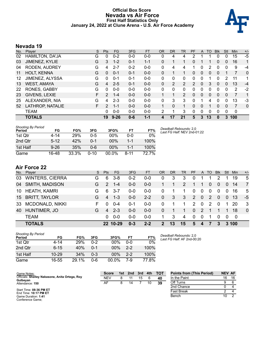#### **Official Box Score Nevada vs Air Force First Half Statistics Only January 24, 2022 at Clune Arena - U.S. Air Force Academy**



# **Nevada 19**

| No. | Player                 | S  | <b>Pts</b>    | FG       | 3FG     | <b>FT</b> | <b>OR</b> | <b>DR</b> | TR             | PF       | A | TO | <b>Blk</b> | Stl | <b>Min</b> | $+/-$    |
|-----|------------------------|----|---------------|----------|---------|-----------|-----------|-----------|----------------|----------|---|----|------------|-----|------------|----------|
| 02  | <b>HAMILTON, DA'JA</b> | G  | 0             | $0 - 2$  | $0 - 0$ | $0-0$     | 0         | 4         | 4              | 2        |   |    | $\Omega$   | 0   | 15         | -5       |
| 03  | JIMENEZ, KYLIE         | G  | 3             | $1 - 2$  | $0 - 1$ | $1 - 1$   | 0         |           |                | $\Omega$ |   |    | 0          | 0   | 16         | 1        |
| 04  | RODEN, AUDREY          | G  | 4             | $2 - 7$  | $0 - 2$ | $0 - 0$   | 0         | 4         | 4              |          | 0 | 2  | 0          | 0   | 9          | $-4$     |
| 11  | <b>HOLT, KENNA</b>     | G  | $\mathbf{0}$  | $0 - 1$  | $0 - 1$ | $0 - 0$   | 0         | 1         |                | 0        | 0 | 0  | 0          |     |            | 0        |
| 12  | JIMENEZ, ALYSSA        | G  | 0             | $0 - 1$  | $0 - 1$ | $0 - 0$   | 0         | 0         | 0              | 0        | 0 |    | 0          | 2   | 11         | 1        |
| 13  | <b>WEST, AMAYA</b>     | G  | 4             | $2 - 5$  | $0 - 1$ | $0 - 0$   | $\Omega$  | 2         | $\overline{2}$ | 2        | 0 | 3  | $\Omega$   | 0   | 13         | $-4$     |
| 22  | RONES, GABBY           | G  | 0             | $0 - 0$  | $0 - 0$ | $0-0$     | 0         | $\Omega$  | 0              | 0        | 0 | 0  | 0          | 0   | 2          | $-2$     |
| 23  | GIVENS, LEXIE          | F. | 2             | $1 - 4$  | $0 - 0$ | $0 - 0$   |           | 1         | $\overline{2}$ | 0        | 0 | 0  | $\Omega$   | 0   | 7          | 1        |
| 25  | ALEXANDER, NIA         | G  | 4             | $2 - 3$  | $0 - 0$ | $0 - 0$   | 0         | 3         | 3              | $\Omega$ |   | 4  | $\Omega$   | 0   | 13         | -3       |
| 52  | LATHROP, NATALIE       | F. | $\mathcal{L}$ | $1 - 1$  | $0 - 0$ | $0 - 0$   | 1         | $\Omega$  | 1              | $\Omega$ | 0 |    | 0          | 0   | 7          | $\Omega$ |
|     | <b>TEAM</b>            |    | 0             | $0 - 0$  | $0 - 0$ | $0 - 0$   | 2         | 1         | 3              | 0        | 0 | 0  | $\Omega$   | 0   | 0          |          |
|     | <b>TOTALS</b>          |    | 19            | $9 - 26$ | $0 - 6$ | $1 - 1$   | 4         | 17        | 21             | 5        | 3 | 13 | $\Omega$   | 3   | 100        |          |

| Shooting By Period<br>Period | FG       | FG%   | 3FG      | 3FG%   | FT      | FT%   |
|------------------------------|----------|-------|----------|--------|---------|-------|
| 1st Otr                      | 4-14     | 29%   | 0-5      | 00%    | $0 - 0$ | 0%    |
| 2nd Qtr                      | $5 - 12$ | 42%   | $0 - 1$  | 00%    | $1 - 1$ | 100%  |
| 1st Half                     | $9 - 26$ | 35%   | ი-6      | $00\%$ | $1 - 1$ | 100%  |
| Game                         | 16-48    | 33.3% | $0 - 10$ | 00.0%  | 8-11    | 72.7% |

*Deadball Rebounds:* 2,0 *Last FG Half:* NEV 2nd-01:22

# **Air Force 22**

|    | No. Player             | S. | <b>Pts</b>    | FG.      | 3FG     | <b>FT</b> | <b>OR</b>     | DR. | <b>TR</b>     | <b>PF</b>    |              | A TO        | <b>BIK</b>   | Stl            | Min.  | $+/-$    |
|----|------------------------|----|---------------|----------|---------|-----------|---------------|-----|---------------|--------------|--------------|-------------|--------------|----------------|-------|----------|
| 03 | <b>WINTERS, CIERRA</b> | G  | 6             | $3 - 8$  | $0 - 2$ | $0-0$     | 0             | 3   | 3             | 0            |              |             |              | 1              | 19    | 5        |
| 04 | <b>SMITH, MADISON</b>  | G  | $\mathcal{P}$ | $1 - 4$  | $0 - 0$ | $0 - 0$   |               |     | $\mathcal{P}$ | 1            | 1            | 0           | $\Omega$     | $\Omega$       | 14    | 7        |
| 10 | HEATH, KAMRI           | G  | 6             | $3 - 7$  | $0-0$   | $0 - 0$   | $\mathbf{0}$  |     |               | $\mathbf 0$  | $\mathbf{0}$ | $\mathbf 0$ | $\mathbf{0}$ | 0              | 16    | 5        |
|    | 15 BRITT, TAYLOR       | G  | 4             | $1 - 3$  | $0 - 0$ | $2 - 2$   | $\Omega$      | 3   | 3             | 2            | $\Omega$     | 2           | $\mathbf{0}$ | $\overline{0}$ | -13   | -5       |
| 33 | <b>MCDONALD, NIKKI</b> | F. | $\Omega$      | $0 - 4$  | $0 - 1$ | $0 - 0$   | 0             |     | 1.            | 2            | $\Omega$     | 2           | $\mathbf 0$  | 1              | -20   | -3       |
| 40 | HUNTIMER, JO           | G  | 4             | $2 - 3$  | $0 - 0$ | $0 - 0$   | 0             |     |               | $\mathbf{0}$ | 2            |             |              | 1              | 18    | $\Omega$ |
|    | <b>TEAM</b>            |    | 0             | $0 - 0$  | $0 - 0$ | $0 - 0$   | 1.            | 3   | 4             | 0            | $\Omega$     |             | $\Omega$     | $\Omega$       | - 0   |          |
|    | <b>TOTALS</b>          |    |               | 22 10-29 | $0 - 3$ | $2 - 2$   | $\mathcal{P}$ | 13  | 15            | 5            | $\mathbf{A}$ | 7           | 3            |                | 3,100 |          |

| Shooting By Period<br>Period | FG        | FG%        | 3FG     | 3FG%     | FТ      | FT%   |
|------------------------------|-----------|------------|---------|----------|---------|-------|
| 1st Qtr                      | 4-14      | <b>29%</b> | $0 - 2$ | 00%      | $0 - 0$ | 0%    |
| 2nd Qtr                      | $6 - 15$  | 40%        | $0 - 1$ | $00\%$   | $2 - 2$ | 100%  |
| 1st Half                     | $10 - 29$ | 34%        | $0 - 3$ | $00\%$   | $2-2$   | 100%  |
| Game                         | 16-55     | 29.1%      | Ი-Ნ     | $00.0\%$ | 7-9     | 77.8% |

*Deadball Rebounds:* 2,0 *Last FG Half:* AF 2nd-00:20

| Game Notes:                                                | <b>Score</b> | 1st | 2nd | 3rd | 4th | <b>TOT</b> | <b>Points from (This Period)</b> | <b>NEV AF</b> |    |
|------------------------------------------------------------|--------------|-----|-----|-----|-----|------------|----------------------------------|---------------|----|
| Officials: Shelley Nakasone, Anita Ortega, Roy<br>Gulbeyan | NEV          |     |     | 15  |     | 40         | In the Paint                     | 16            | 16 |
| Attendance: 150                                            | AF           |     |     |     | 10  | 39         | Off Turns                        |               |    |
|                                                            |              |     |     |     |     |            | 2nd Chance                       |               |    |
| Start Time: 08:36 PM ET<br>End Time: 10:17 PM ET           |              |     |     |     |     |            | <b>Fast Break</b>                |               |    |
| Game Duration: 1:41<br>Conference Game;                    |              |     |     |     |     |            | Bench                            | 10            |    |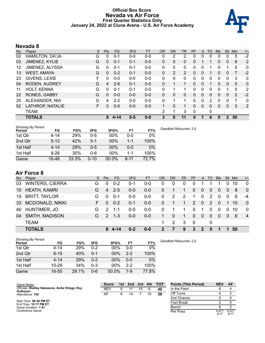### **Official Box Score Nevada vs Air Force First Quarter Statistics Only January 24, 2022 at Clune Arena - U.S. Air Force Academy**



# **Nevada 8**

| No. | Player                 | S  | Pts          | FG      | 3FG     | <b>FT</b> | <b>OR</b> | <b>DR</b> | TR | <b>PF</b> | A        | TO | <b>Blk</b> | Stl          | Min | $+/-$          |
|-----|------------------------|----|--------------|---------|---------|-----------|-----------|-----------|----|-----------|----------|----|------------|--------------|-----|----------------|
| 02  | <b>HAMILTON, DA'JA</b> | G  | 0            | $0 - 1$ | $0-0$   | $0-0$     | 0         | 2         | 2  | 0         | 0        |    | 0          | 0            | 5   | $-2$           |
| 03  | JIMENEZ, KYLIE         | G  | 0            | $0 - 1$ | $0 - 1$ | $0 - 0$   | $\Omega$  | 0         | 0  | 0         |          |    | 0          | 0            | 8   | 2              |
| 12  | JIMENEZ, ALYSSA        | G  | 0            | $0 - 1$ | $0 - 1$ | $0-0$     | 0         | 0         | 0  | 0         | 0        |    | 0          |              | 5   | 0              |
| 13  | <b>WEST, AMAYA</b>     | G  | $\Omega$     | $0 - 2$ | $0 - 1$ | $0 - 0$   | $\Omega$  | 2         | 2  | $\Omega$  | 0        |    | 0          | 0            | 7   | $-2$           |
| 23  | GIVENS, LEXIE          | F  | 0            | $0 - 0$ | $0 - 0$ | $0 - 0$   | $\Omega$  | 0         | 0  | 0         | $\Omega$ | 0  | 0          | 0            | 3   | 0              |
| 04  | RODEN, AUDREY          | G  | 4            | $2 - 6$ | $0 - 1$ | $0 - 0$   | $\Omega$  |           | 1  | $\Omega$  | $\Omega$ |    | 0          | $\Omega$     | 5   | 0              |
| 11  | <b>HOLT, KENNA</b>     | G  | $\Omega$     | $0 - 1$ | $0 - 1$ | $0 - 0$   | $\Omega$  |           |    | $\Omega$  | $\Omega$ | 0  | 0          |              | 5   | 2              |
| 22  | <b>RONES, GABBY</b>    | G  | $\mathbf{0}$ | $0 - 0$ | $0 - 0$ | $0 - 0$   | $\Omega$  | 0         | 0  | $\Omega$  | 0        | 0  | 0          | 0            | 2   | $-2$           |
| 25  | ALEXANDER, NIA         | G  | 4            | $2 - 2$ | $0 - 0$ | $0 - 0$   | $\Omega$  |           |    | $\Omega$  | 0        | 2  | 0          | 0            |     | 0              |
| 52  | LATHROP, NATALIE       | F. | 0            | $0 - 0$ | $0-0$   | $0 - 0$   |           | 0         | 1  | 0         | $\Omega$ | 0  | 0          | $\mathbf{0}$ | 3   | $\overline{2}$ |
|     | TEAM                   |    |              |         |         |           | 2         | 1         | 3  | 0         |          | 0  |            |              |     |                |
|     | <b>TOTALS</b>          |    | 8            | 4-14    | $0 - 5$ | $0 - 0$   | 3         | 8         | 11 | 0         |          | 6  | 0          | 2            | 50  |                |

| <b>Shooting By Period</b><br>Period | FG       | FG%   | 3FG      | 3FG%   | FT       | FT%   | Deadball Rebounds: 2,0 |
|-------------------------------------|----------|-------|----------|--------|----------|-------|------------------------|
| 1st Qtr                             | 4-14     | 29%   | $0 - 5$  | 00%    | $0 - 0$  | 0%    |                        |
| 2nd Qtr                             | $5 - 12$ | 42%   | $0 - 1$  | 00%    | $1 - 1$  | 100%  |                        |
| 1st Half                            | $4 - 14$ | 29%   | $0 - 5$  | $00\%$ | $0 - 0$  | 0%    |                        |
| 1st Half                            | $9 - 26$ | 35%   | 0-6      | 00%    | 1-1      | 100%  |                        |
| Game                                | 16-48    | 33.3% | $0 - 10$ | 00.0%  | $8 - 11$ | 72.7% |                        |

# **Air Force 8**

| No. | Player                 | S. | <b>Pts</b>    | <b>FG</b> | 3FG     | <b>FT</b> | <b>OR</b> | DR.          | <b>TR</b> | <b>PF</b> |                | A TO     | <b>Blk</b> | Stl            | Min | $+/-$          |
|-----|------------------------|----|---------------|-----------|---------|-----------|-----------|--------------|-----------|-----------|----------------|----------|------------|----------------|-----|----------------|
| 03  | <b>WINTERS, CIERRA</b> | G  | $\Omega$      | $0 - 2$   | $0 - 1$ | $0 - 0$   | 0         | 0            | 0         | 0         |                |          |            | $\Omega$       | 10  | $\overline{0}$ |
| 10  | <b>HEATH, KAMRI</b>    | G  | 4             | $2 - 5$   | $0 - 0$ | $0 - 0$   | 0         |              |           | $\Omega$  | $\Omega$       | $\Omega$ | 0          | $\overline{0}$ | 8   | $\overline{0}$ |
| 15  | <b>BRITT, TAYLOR</b>   | G  | $\Omega$      | $0 - 1$   | $0 - 0$ | $0-0$     | 0         | 2            | 2         | 1         | 0              | 2        | $\Omega$   | 0              | 6   | $-4$           |
| 33  | MCDONALD, NIKKI        | F. | $\Omega$      | $0 - 2$   | $0 - 1$ | $0 - 0$   | 0         |              | 1.        | 2         | $\mathbf{0}$   | 2        | $\Omega$   |                | 10  | $\Omega$       |
| 40  | <b>HUNTIMER, JO</b>    | G. | $\mathcal{P}$ | $1 - 1$   | $0 - 0$ | $0 - 0$   | 0         |              |           | $\Omega$  |                | 0        | $\Omega$   | 0              | 10  | $\overline{0}$ |
| 04  | <b>SMITH, MADISON</b>  | G. | $\mathcal{P}$ | $1 - 3$   | $0 - 0$ | $0 - 0$   |           | $\mathbf{0}$ |           | $\Omega$  | $\overline{0}$ | $\Omega$ | $\Omega$   | $\Omega$       | -6  | $\overline{4}$ |
|     | <b>TEAM</b>            |    |               |           |         |           |           | 2            | 3         | - 0       |                | 0        |            |                |     |                |
|     | <b>TOTALS</b>          |    | 8             | 4-14      | $0 - 2$ | $0 - 0$   | 2         |              | 9         | 3         | $\mathbf{2}$   | 5        | 1          | 1.             | 50  |                |
|     |                        |    |               |           |         |           |           |              |           |           |                |          |            |                |     |                |

| Shooting By Period<br>Period | FG        | FG%   | 3FG     | 3FG%   | <b>FT</b> | L<br>FT% |
|------------------------------|-----------|-------|---------|--------|-----------|----------|
| 1st Qtr                      | $4 - 14$  | 29%   | $0 - 2$ | 00%    | $0 - 0$   | 0%       |
| 2nd Qtr                      | $6 - 15$  | 40%   | $0 - 1$ | 00%    | $2 - 2$   | 100%     |
| 1st Half                     | $4 - 14$  | 29%   | $0 - 2$ | 00%    | $0 - 0$   | $0\%$    |
| 1st Half                     | $10 - 29$ | 34%   | $0 - 3$ | $00\%$ | $2-2$     | 100%     |
| Game                         | 16-55     | 29.1% | $0 - 6$ | 00.0%  | 7-9       | 77.8%    |

*Deadball Rebounds:* 2,0

| Game Notes:                                      | <b>Score</b> | 1st | 2nd | 3rd | 4th | <b>TOT</b> | <b>Points (This Period)</b> | <b>NEV</b>              | AF            |
|--------------------------------------------------|--------------|-----|-----|-----|-----|------------|-----------------------------|-------------------------|---------------|
| Officials: Shelley Nakasone, Anita Ortega, Roy   | NEV          |     |     | 15  |     | 40         | In the Paint                |                         |               |
| Gulbeyan<br>Attendance: 150                      | AF           |     | 14  |     | 10  | 39         | Off Turns                   |                         |               |
|                                                  |              |     |     |     |     |            | 2nd Chance                  |                         |               |
| Start Time: 08:36 PM ET<br>End Time: 10:17 PM ET |              |     |     |     |     |            | <b>Fast Break</b>           |                         |               |
| Game Duration: 1:41                              |              |     |     |     |     |            | Bench                       |                         |               |
| Conference Game:                                 |              |     |     |     |     |            | Per Poss                    | $0.47^{\prime}$<br>4/17 | 0.471<br>4/17 |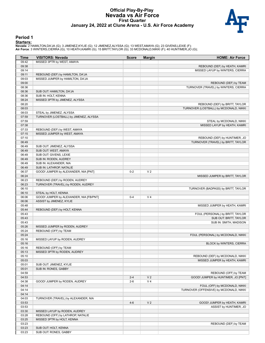#### **Official Play-By-Play Nevada vs Air Force First Quarter January 24, 2022 at Clune Arena - U.S. Air Force Academy**



#### **Period 1**

<mark>Startersː</mark><br>Nevada: 2 HAMILTON,DA'JA (G); 3 JIMENEZ,KYLIE (G); 12 JIMENEZ,ALYSSA (G); 13 WEST,AMAYA (G); 23 GIVENS,LEXIE (F);<br>**Air Force**: 3 WINTERS,CIERRA (G); 10 HEATH,KAMRI (G); 15 BRITT,TAYLOR (G); 33 MCDONALD,NIKKI (F

| Time           | <b>VISITORS: Nevada</b>                 | <b>Score</b> | <b>Margin</b>  | <b>HOME: Air Force</b>                                      |
|----------------|-----------------------------------------|--------------|----------------|-------------------------------------------------------------|
| 09:42          | MISSED 3PTR by WEST, AMAYA              |              |                |                                                             |
| 09:38          |                                         |              |                | REBOUND (DEF) by HEATH, KAMRI                               |
| 09:14          |                                         |              |                | MISSED LAYUP by WINTERS, CIERRA                             |
| 09:11          | REBOUND (DEF) by HAMILTON, DA'JA        |              |                |                                                             |
| 09:03          | MISSED JUMPER by HAMILTON, DA'JA        |              |                |                                                             |
| 09:00          |                                         |              |                | REBOUND (DEF) by TEAM                                       |
| 08:36          |                                         |              |                | TURNOVER (TRAVEL) by WINTERS, CIERRA                        |
| 08:36          | SUB OUT: HAMILTON, DA'JA                |              |                |                                                             |
| 08:36          | SUB IN: HOLT, KENNA                     |              |                |                                                             |
| 08:24          | MISSED 3PTR by JIMENEZ, ALYSSA          |              |                |                                                             |
| 08:20          |                                         |              |                | REBOUND (DEF) by BRITT, TAYLOR                              |
| 08:03          |                                         |              |                | TURNOVER (LOSTBALL) by MCDONALD, NIKKI                      |
| 08:03          | STEAL by JIMENEZ, ALYSSA                |              |                |                                                             |
| 07:59          | TURNOVER (LOSTBALL) by JIMENEZ, ALYSSA  |              |                |                                                             |
| 07:59          |                                         |              |                | STEAL by MCDONALD, NIKKI                                    |
| 07:38          |                                         |              |                | MISSED LAYUP by HEATH, KAMRI                                |
| 07:33          | REBOUND (DEF) by WEST, AMAYA            |              |                |                                                             |
| 07:15          | MISSED JUMPER by WEST, AMAYA            |              |                |                                                             |
| 07:10          |                                         |              |                | REBOUND (DEF) by HUNTIMER, JO                               |
| 06:49          |                                         |              |                | TURNOVER (TRAVEL) by BRITT, TAYLOR                          |
| 06:49          | SUB OUT: JIMENEZ, ALYSSA                |              |                |                                                             |
| 06:49          | SUB OUT: WEST, AMAYA                    |              |                |                                                             |
| 06:49          | SUB OUT: GIVENS, LEXIE                  |              |                |                                                             |
| 06:49          | SUB IN: RODEN, AUDREY                   |              |                |                                                             |
| 06:49          | SUB IN: ALEXANDER, NIA                  |              |                |                                                             |
| 06:49          | SUB IN: LATHROP, NATALIE                |              |                |                                                             |
| 06:37          | GOOD! JUMPER by ALEXANDER, NIA [PNT]    | $0 - 2$      | V <sub>2</sub> |                                                             |
| 06:24          |                                         |              |                | MISSED JUMPER by BRITT, TAYLOR                              |
| 06:23          | REBOUND (DEF) by RODEN, AUDREY          |              |                |                                                             |
| 06:23          | TURNOVER (TRAVEL) by RODEN, AUDREY      |              |                |                                                             |
| 06:10          |                                         |              |                | TURNOVER (BADPASS) by BRITT, TAYLOR                         |
| 06:10          | STEAL by HOLT, KENNA                    |              |                |                                                             |
| 06:06          | GOOD! JUMPER by ALEXANDER, NIA [FB/PNT] | $0 - 4$      | V <sub>4</sub> |                                                             |
| 06:06          | ASSIST by JIMENEZ, KYLIE                |              |                |                                                             |
| 05:48          |                                         |              |                | MISSED JUMPER by HEATH, KAMRI                               |
| 05:44          | REBOUND (DEF) by HOLT, KENNA            |              |                |                                                             |
| 05:43          |                                         |              |                | FOUL (PERSONAL) by BRITT, TAYLOR                            |
| 05:43          |                                         |              |                | SUB OUT: BRITT, TAYLOR                                      |
| 05:43          |                                         |              |                | SUB IN: SMITH, MADISON                                      |
| 05:26          | MISSED JUMPER by RODEN, AUDREY          |              |                |                                                             |
| 05:24          | REBOUND (OFF) by TEAM                   |              |                |                                                             |
| 05:24          |                                         |              |                | FOUL (PERSONAL) by MCDONALD, NIKKI                          |
| 05:16          | MISSED LAYUP by RODEN, AUDREY           |              |                |                                                             |
| 05:16          |                                         |              |                | BLOCK by WINTERS, CIERRA                                    |
| 05:16          | REBOUND (OFF) by TEAM                   |              |                |                                                             |
| 05:13          | MISSED 3PTR by RODEN, AUDREY            |              |                |                                                             |
| 05:10          |                                         |              |                | REBOUND (DEF) by MCDONALD, NIKKI                            |
| 05:03          |                                         |              |                | MISSED JUMPER by HEATH, KAMRI                               |
| 05:01<br>05:01 | SUB OUT: JIMENEZ, KYLIE                 |              |                |                                                             |
| 04:59          | SUB IN: RONES, GABBY                    |              |                |                                                             |
| 04:53          |                                         | $2 - 4$      | V <sub>2</sub> | REBOUND (OFF) by TEAM<br>GOOD! JUMPER by HUNTIMER, JO [PNT] |
| 04:38          |                                         | $2 - 6$      | V <sub>4</sub> |                                                             |
| 04:14          | GOOD! JUMPER by RODEN, AUDREY           |              |                | FOUL (OFF) by MCDONALD, NIKKI                               |
| 04:14          |                                         |              |                | TURNOVER (OFFENSIVE) by MCDONALD, NIKKI                     |
| 04:14          |                                         |              |                |                                                             |
| 04:03          | TURNOVER (TRAVEL) by ALEXANDER, NIA     |              |                |                                                             |
| 03:53          |                                         | $4 - 6$      | V <sub>2</sub> | GOOD! JUMPER by HEATH, KAMRI                                |
| 03:53          |                                         |              |                | ASSIST by HUNTIMER, JO                                      |
| 03:30          | MISSED LAYUP by RODEN, AUDREY           |              |                |                                                             |
| 03:28          | REBOUND (OFF) by LATHROP, NATALIE       |              |                |                                                             |
| 03:25          | MISSED 3PTR by HOLT, KENNA              |              |                |                                                             |
| 03:23          |                                         |              |                | REBOUND (DEF) by TEAM                                       |
| 03:23          | SUB OUT: HOLT, KENNA                    |              |                |                                                             |
| 03:23          | SUB OUT: RONES, GABBY                   |              |                |                                                             |
|                |                                         |              |                |                                                             |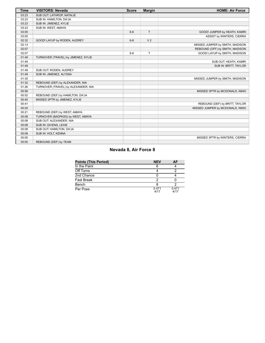| Time  | <b>VISITORS: Nevada</b>             | <b>Score</b> | <b>Margin</b>  | <b>HOME: Air Force</b>           |
|-------|-------------------------------------|--------------|----------------|----------------------------------|
| 03:23 | SUB OUT: LATHROP, NATALIE           |              |                |                                  |
| 03:23 | SUB IN: HAMILTON, DA'JA             |              |                |                                  |
| 03:23 | SUB IN: JIMENEZ, KYLIE              |              |                |                                  |
| 03:23 | SUB IN: WEST, AMAYA                 |              |                |                                  |
| 03:05 |                                     | $6-6$        | T.             | GOOD! JUMPER by HEATH, KAMRI     |
| 03:05 |                                     |              |                | ASSIST by WINTERS, CIERRA        |
| 02:32 | GOOD! LAYUP by RODEN, AUDREY        | $6 - 8$      | V <sub>2</sub> |                                  |
| 02:13 |                                     |              |                | MISSED JUMPER by SMITH, MADISON  |
| 02:07 |                                     |              |                | REBOUND (OFF) by SMITH, MADISON  |
| 02:07 |                                     | $8 - 8$      | T              | GOOD! LAYUP by SMITH, MADISON    |
| 01:49 | TURNOVER (TRAVEL) by JIMENEZ, KYLIE |              |                |                                  |
| 01:49 |                                     |              |                | SUB OUT: HEATH, KAMRI            |
| 01:49 |                                     |              |                | SUB IN: BRITT, TAYLOR            |
| 01:49 | SUB OUT: RODEN, AUDREY              |              |                |                                  |
| 01:49 | SUB IN: JIMENEZ, ALYSSA             |              |                |                                  |
| 01:35 |                                     |              |                | MISSED JUMPER by SMITH, MADISON  |
| 01:32 | REBOUND (DEF) by ALEXANDER, NIA     |              |                |                                  |
| 01:26 | TURNOVER (TRAVEL) by ALEXANDER, NIA |              |                |                                  |
| 00:56 |                                     |              |                | MISSED 3PTR by MCDONALD, NIKKI   |
| 00:52 | REBOUND (DEF) by HAMILTON, DA'JA    |              |                |                                  |
| 00:45 | MISSED 3PTR by JIMENEZ, KYLIE       |              |                |                                  |
| 00:41 |                                     |              |                | REBOUND (DEF) by BRITT, TAYLOR   |
| 00:25 |                                     |              |                | MISSED JUMPER by MCDONALD, NIKKI |
| 00:21 | REBOUND (DEF) by WEST, AMAYA        |              |                |                                  |
| 00:08 | TURNOVER (BADPASS) by WEST, AMAYA   |              |                |                                  |
| 00:08 | SUB OUT: ALEXANDER, NIA             |              |                |                                  |
| 00:08 | SUB IN: GIVENS, LEXIE               |              |                |                                  |
| 00:08 | SUB OUT: HAMILTON, DA'JA            |              |                |                                  |
| 00:08 | SUB IN: HOLT, KENNA                 |              |                |                                  |
| 00:00 |                                     |              |                | MISSED 3PTR by WINTERS, CIERRA   |
| 00:00 | REBOUND (DEF) by TEAM               |              |                |                                  |

# **Nevada 8, Air Force 8**

| <b>Points (This Period)</b> | <b>NEV</b>    | AF            |
|-----------------------------|---------------|---------------|
| In the Paint                |               |               |
| Off Turns                   |               |               |
| 2nd Chance                  |               |               |
| Fast Break                  |               |               |
| Bench                       |               |               |
| Per Poss                    | 0.471<br>4/17 | 0.471<br>4/17 |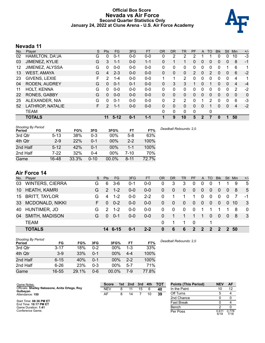### **Official Box Score Nevada vs Air Force Second Quarter Statistics Only January 24, 2022 at Clune Arena - U.S. Air Force Academy**



# **Nevada 11**

| No. | Player                 | S  | Pts          | FG       | 3FG     | <b>FT</b> | <b>OR</b> | <b>DR</b> | <b>TR</b> | <b>PF</b> | A        | TO | <b>Blk</b> | Stl            | Min | $+/-$ |
|-----|------------------------|----|--------------|----------|---------|-----------|-----------|-----------|-----------|-----------|----------|----|------------|----------------|-----|-------|
| 02  | <b>HAMILTON, DA'JA</b> | G  | 0            | $0 - 1$  | $0-0$   | $0-0$     | 0         | 2         | 2         |           |          |    | 0          | 0              | 10  | $-3$  |
| 03  | JIMENEZ, KYLIE         | G  | 3            | $1 - 1$  | $0 - 0$ | $1 - 1$   | 0         |           |           | 0         | 0        | 0  | 0          | 0              | 8   | $-1$  |
| 12  | JIMENEZ, ALYSSA        | G  | 0            | $0 - 0$  | $0 - 0$ | $0 - 0$   | 0         | 0         | 0         | 0         | 0        | 0  | 0          |                | 6   | 1     |
| 13  | <b>WEST, AMAYA</b>     | G  | 4            | $2 - 3$  | $0 - 0$ | $0 - 0$   | $\Omega$  | 0         | 0         | 2         | $\Omega$ | 2  | 0          | 0              | 6   | $-2$  |
| 23  | GIVENS, LEXIE          | F  | 2            | $1 - 4$  | $0 - 0$ | $0 - 0$   | 1         | 1         | 2         | 0         | $\Omega$ | 0  | 0          | 0              | 4   | 1     |
| 04  | RODEN, AUDREY          | G  | $\Omega$     | $0 - 1$  | $0 - 1$ | $0 - 0$   | $\Omega$  | 3         | 3         |           | $\Omega$ |    | 0          | $\Omega$       | 4   | $-4$  |
| 11  | <b>HOLT, KENNA</b>     | G  | $\Omega$     | $0 - 0$  | $0 - 0$ | $0 - 0$   | 0         | $\Omega$  | 0         | 0         | 0        | 0  | 0          | 0              | 2   | $-2$  |
| 22  | <b>RONES, GABBY</b>    | G  | $\mathbf{0}$ | $0 - 0$  | $0 - 0$ | $0 - 0$   | $\Omega$  | 0         | 0         | $\Omega$  | 0        | 0  | 0          | $\overline{0}$ | 0   | 0     |
| 25  | ALEXANDER, NIA         | G  | 0            | $0 - 1$  | $0 - 0$ | $0 - 0$   | 0         | 2         | 2         | $\Omega$  |          | 2  | 0          | 0              | 6   | -3    |
| 52  | LATHROP, NATALIE       | F. | 2            | $1 - 1$  | $0 - 0$ | $0 - 0$   | $\Omega$  | 0         | 0         | $\Omega$  | $\Omega$ |    | 0          | 0              | 4   | $-2$  |
|     | TEAM                   |    |              |          |         |           | $\Omega$  | 0         | 0         | 0         |          | 0  |            |                |     |       |
|     | <b>TOTALS</b>          |    | 11           | $5 - 12$ | $0 - 1$ | $1 - 1$   |           | 9         | 10        | 5         | 2        |    | 0          |                | 50  |       |

| <b>Shooting By Period</b><br>Period | FG       | FG%   | 3FG      | 3FG%   | <b>FT</b> | FT%   | Deadball Rebounds: 2,0 |
|-------------------------------------|----------|-------|----------|--------|-----------|-------|------------------------|
| 3rd Qtr                             | $5 - 13$ | 38%   | $0 - 3$  | $00\%$ | $5-8$     | 63%   |                        |
| 4th Qtr                             | $2 - 9$  | 22%   | $0 - 1$  | 00%    | $2 - 2$   | 100%  |                        |
| 2nd Half                            | $5 - 12$ | 42%   | $0 - 1$  | 00%    | 1-1       | 100%  |                        |
| 2nd Half                            | 7-22     | 32%   | $0 - 4$  | 00%    | 7-10      | 70%   |                        |
| Game                                | 16-48    | 33.3% | $0 - 10$ | 00.0%  | $8 - 11$  | 72.7% |                        |

# **Air Force 14**

|                        | S.     | <b>Pts</b>    | <b>FG</b> | 3FG                | FT      | <b>OR</b> | D <sub>R</sub> | <b>TR</b>    | <b>PF</b>      |               | A TO         | <b>Blk</b>    |                | Stl Min | $+/-$                   |
|------------------------|--------|---------------|-----------|--------------------|---------|-----------|----------------|--------------|----------------|---------------|--------------|---------------|----------------|---------|-------------------------|
| <b>WINTERS, CIERRA</b> | G      | 6             | $3-6$     | 0-1                | $0 - 0$ | 0         | 3              | 3            | 0              | 0             | $\Omega$     |               |                | 9       | -5                      |
| <b>HEATH, KAMRI</b>    | G      | $\mathcal{P}$ | $1 - 2$   | $0 - 0$            | $0 - 0$ | 0         | $\theta$       | $\mathbf{0}$ | $\overline{0}$ | $\Omega$      | $\Omega$     | 0             | $\overline{0}$ | 8       | 5                       |
| <b>BRITT, TAYLOR</b>   | G      | 4             | $1 - 2$   | $0 - 0$            | $2 - 2$ | 0         |                |              | 1              | 0             | $\Omega$     | $\mathbf 0$   | 0              |         | -1                      |
| <b>MCDONALD, NIKKI</b> | F.     | $\Omega$      | $0 - 2$   | $0 - 0$            | $0-0$   | 0         | 0              | $\mathbf{0}$ | $\mathbf{0}$   | $\mathbf{0}$  | 0            | $\mathbf 0$   | $\mathbf{0}$   |         | 3                       |
| HUNTIMER, JO           | G      | 2             | $1 - 2$   | $0 - 0$            | $0 - 0$ | 0         | 0              | $\mathbf{0}$ | $\Omega$       |               |              |               |                | 8       | $\overline{0}$          |
| <b>SMITH, MADISON</b>  | G      | $\Omega$      |           | $0 - 0$            | $0 - 0$ | 0         |                |              |                |               | $\Omega$     | -0            | $\overline{0}$ | -8      | - 3                     |
| <b>TEAM</b>            |        |               |           |                    |         | 0         |                |              | -0             |               |              |               |                |         |                         |
| <b>TOTALS</b>          |        |               |           | $0 - 1$            | $2 - 2$ | $\bf{0}$  | 6              | 6            | $\mathbf{P}$   | $\mathcal{P}$ | $\mathbf{P}$ | $\mathcal{P}$ |                |         |                         |
|                        | Player |               |           | $0 - 1$<br>14 6-15 |         |           |                |              |                |               |              |               |                |         | 10 <sup>7</sup><br>2 50 |

| <b>Shooting By Period</b><br>Period | FG       | FG%   | 3FG     | 3FG%   | FТ      | FT%   |
|-------------------------------------|----------|-------|---------|--------|---------|-------|
| 3rd Qtr                             | $3 - 17$ | 18%   | $0 - 2$ | 00%    | $1 - 3$ | 33%   |
| 4th Qtr                             | $3 - 9$  | 33%   | $0 - 1$ | 00%    | $4 - 4$ | 100%  |
| 2nd Half                            | $6 - 15$ | 40%   | $0 - 1$ | $00\%$ | $2-2$   | 100%  |
| 2nd Half                            | $6 - 26$ | 23%   | $0 - 3$ | $00\%$ | $5 - 7$ | 71%   |
| Game                                | 16-55    | 29.1% | $0 - 6$ | 00.0%  | 7-9     | 77.8% |

*Deadball Rebounds:* 2,0

| Game Notes:                                      | <b>Score</b> | 1st | 2nd | 3rd | 4th | <b>TOT</b> | <b>Points (This Period)</b> | <b>NEV</b>    | AF            |
|--------------------------------------------------|--------------|-----|-----|-----|-----|------------|-----------------------------|---------------|---------------|
| Officials: Shelley Nakasone, Anita Ortega, Roy   | NEV          |     |     | 15  |     | 40         | In the Paint                |               | 12            |
| Gulbeyan<br>Attendance: 150                      | AF           |     | 14  |     |     | 39         | Off Turns                   |               |               |
|                                                  |              |     |     |     |     |            | 2nd Chance                  |               |               |
| Start Time: 08:36 PM ET<br>End Time: 10:17 PM ET |              |     |     |     |     |            | <b>Fast Break</b>           |               |               |
| Game Duration: 1:41                              |              |     |     |     |     |            | Bench                       |               |               |
| Conference Game:                                 |              |     |     |     |     |            | Per Poss                    | 0.611<br>6/18 | 0.778<br>7/18 |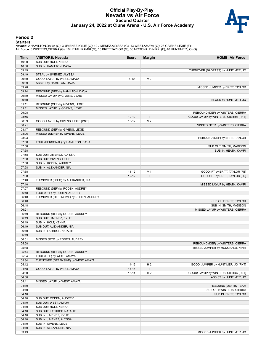#### **Official Play-By-Play Nevada vs Air Force Second Quarter January 24, 2022 at Clune Arena - U.S. Air Force Academy**



### **Period 2**

#### **Starters:**

**Nevada**: 2 HAMILTON,DA'JA (G); 3 JIMENEZ,KYLIE (G); 12 JIMENEZ,ALYSSA (G); 13 WEST,AMAYA (G); 23 GIVENS,LEXIE (F);<br>**Air Force**: 3 WINTERS,CIERRA (G); 10 HEATH,KAMRI (G); 15 BRITT,TAYLOR (G); 33 MCDONALD,NIKKI (F); 40 HUNT

| Time  | <b>VISITORS: Nevada</b>               | <b>Score</b> | <b>Margin</b>  | <b>HOME: Air Force</b>               |
|-------|---------------------------------------|--------------|----------------|--------------------------------------|
| 10:00 | SUB OUT: HOLT, KENNA                  |              |                |                                      |
| 10:00 | SUB IN: HAMILTON, DA'JA               |              |                |                                      |
| 09:49 |                                       |              |                | TURNOVER (BADPASS) by HUNTIMER, JO   |
| 09:49 | STEAL by JIMENEZ, ALYSSA              |              |                |                                      |
| 09:39 | GOOD! LAYUP by WEST, AMAYA            | $8 - 10$     | V <sub>2</sub> |                                      |
| 09:39 | ASSIST by HAMILTON, DA'JA             |              |                |                                      |
| 09:28 |                                       |              |                | MISSED JUMPER by BRITT, TAYLOR       |
| 09:24 | REBOUND (DEF) by HAMILTON, DA'JA      |              |                |                                      |
| 09:19 | MISSED LAYUP by GIVENS, LEXIE         |              |                |                                      |
| 09:19 |                                       |              |                | BLOCK by HUNTIMER, JO                |
| 09:11 | REBOUND (OFF) by GIVENS, LEXIE        |              |                |                                      |
| 09:11 | MISSED LAYUP by GIVENS, LEXIE         |              |                |                                      |
| 09:08 |                                       |              |                | REBOUND (DEF) by WINTERS, CIERRA     |
| 08:55 |                                       | $10-10$      | $\mathsf{T}$   | GOOD! LAYUP by WINTERS, CIERRA [PNT] |
| 08:39 | GOOD! LAYUP by GIVENS, LEXIE [PNT]    | $10 - 12$    | V <sub>2</sub> |                                      |
| 08:21 |                                       |              |                | MISSED 3PTR by WINTERS, CIERRA       |
| 08:17 | REBOUND (DEF) by GIVENS, LEXIE        |              |                |                                      |
| 08:06 | MISSED JUMPER by GIVENS, LEXIE        |              |                |                                      |
| 08:03 |                                       |              |                | REBOUND (DEF) by BRITT, TAYLOR       |
| 07:58 | FOUL (PERSONAL) by HAMILTON, DA'JA    |              |                |                                      |
| 07:58 |                                       |              |                | SUB OUT: SMITH, MADISON              |
| 07:58 |                                       |              |                | SUB IN: HEATH, KAMRI                 |
| 07:58 | SUB OUT: JIMENEZ, ALYSSA              |              |                |                                      |
| 07:58 | SUB OUT: GIVENS, LEXIE                |              |                |                                      |
| 07:58 | SUB IN: RODEN, AUDREY                 |              |                |                                      |
| 07:58 | SUB IN: ALEXANDER, NIA                |              |                |                                      |
| 07:58 |                                       | $11 - 12$    | V <sub>1</sub> | GOOD! FT by BRITT, TAYLOR [FB]       |
| 07:58 |                                       | $12 - 12$    | T              | GOOD! FT by BRITT, TAYLOR [FB]       |
| 07:40 | TURNOVER (3SEC) by ALEXANDER, NIA     |              |                |                                      |
| 07:10 |                                       |              |                | MISSED LAYUP by HEATH, KAMRI         |
| 07:07 | REBOUND (DEF) by RODEN, AUDREY        |              |                |                                      |
| 06:48 | FOUL (OFF) by RODEN, AUDREY           |              |                |                                      |
| 06:48 | TURNOVER (OFFENSIVE) by RODEN, AUDREY |              |                |                                      |
| 06:48 |                                       |              |                | SUB OUT: BRITT, TAYLOR               |
| 06:48 |                                       |              |                | SUB IN: SMITH, MADISON               |
| 06:21 |                                       |              |                | MISSED LAYUP by WINTERS, CIERRA      |
| 06:19 | REBOUND (DEF) by RODEN, AUDREY        |              |                |                                      |
| 06:19 | SUB OUT: JIMENEZ, KYLIE               |              |                |                                      |
| 06:19 | SUB IN: HOLT, KENNA                   |              |                |                                      |
| 06:19 | SUB OUT: ALEXANDER, NIA               |              |                |                                      |
| 06:19 | SUB IN: LATHROP, NATALIE              |              |                |                                      |
| 06:19 |                                       |              |                |                                      |
| 06:01 | MISSED 3PTR by RODEN, AUDREY          |              |                |                                      |
| 05:58 |                                       |              |                | REBOUND (DEF) by WINTERS, CIERRA     |
| 05:48 |                                       |              |                | MISSED JUMPER by MCDONALD, NIKKI     |
| 05:44 | REBOUND (DEF) by RODEN, AUDREY        |              |                |                                      |
| 05:34 | FOUL (OFF) by WEST, AMAYA             |              |                |                                      |
| 05:34 | TURNOVER (OFFENSIVE) by WEST, AMAYA   |              |                |                                      |
| 05:12 |                                       | $14 - 12$    | H <sub>2</sub> | GOOD! JUMPER by HUNTIMER, JO [PNT]   |
| 04:58 | GOOD! LAYUP by WEST, AMAYA            | $14 - 14$    | $\mathsf T$    |                                      |
| 04:30 |                                       | $16-14$      | H <sub>2</sub> | GOOD! LAYUP by WINTERS, CIERRA [PNT] |
| 04:30 |                                       |              |                | ASSIST by HUNTIMER, JO               |
| 04:11 | MISSED LAYUP by WEST, AMAYA           |              |                |                                      |
| 04:10 |                                       |              |                | REBOUND (DEF) by TEAM                |
| 04:10 |                                       |              |                | SUB OUT: WINTERS, CIERRA             |
| 04:10 |                                       |              |                | SUB IN: BRITT, TAYLOR                |
| 04:10 | SUB OUT: RODEN, AUDREY                |              |                |                                      |
| 04:10 | SUB OUT: WEST, AMAYA                  |              |                |                                      |
| 04:10 | SUB OUT: HOLT, KENNA                  |              |                |                                      |
| 04:10 | SUB OUT: LATHROP, NATALIE             |              |                |                                      |
| 04:10 | SUB IN: JIMENEZ, KYLIE                |              |                |                                      |
| 04:10 | SUB IN: JIMENEZ, ALYSSA               |              |                |                                      |
| 04:10 | SUB IN: GIVENS, LEXIE                 |              |                |                                      |
| 04:10 | SUB IN: ALEXANDER, NIA                |              |                |                                      |
| 03:43 |                                       |              |                | MISSED JUMPER by HUNTIMER, JO        |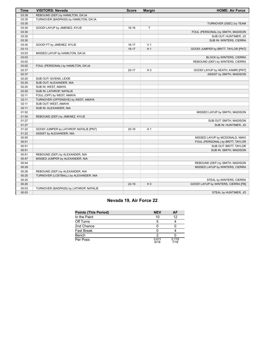| <b>Time</b> | <b>VISITORS: Nevada</b>                | <b>Score</b> | <b>Margin</b>  | <b>HOME: Air Force</b>              |
|-------------|----------------------------------------|--------------|----------------|-------------------------------------|
| 03:39       | REBOUND (DEF) by HAMILTON, DA'JA       |              |                |                                     |
| 03:35       | TURNOVER (BADPASS) by HAMILTON, DA'JA  |              |                |                                     |
| 03:35       |                                        |              |                | TURNOVER (5SEC) by TEAM             |
| 03:30       | GOOD! LAYUP by JIMENEZ, KYLIE          | $16-16$      | $\mathsf T$    |                                     |
| 03:30       |                                        |              |                | FOUL (PERSONAL) by SMITH, MADISON   |
| 03:30       |                                        |              |                | SUB OUT: HUNTIMER, JO               |
| 03:30       |                                        |              |                | SUB IN: WINTERS, CIERRA             |
| 03:30       | GOOD! FT by JIMENEZ, KYLIE             | $16 - 17$    | V <sub>1</sub> |                                     |
| 03:13       |                                        | $18-17$      | H <sub>1</sub> | GOOD! JUMPER by BRITT, TAYLOR [PNT] |
| 03:03       | MISSED LAYUP by HAMILTON, DA'JA        |              |                |                                     |
| 03:03       |                                        |              |                | BLOCK by WINTERS, CIERRA            |
| 03:02       |                                        |              |                | REBOUND (DEF) by WINTERS, CIERRA    |
| 03:02       | FOUL (PERSONAL) by HAMILTON, DA'JA     |              |                |                                     |
| 02:37       |                                        | $20 - 17$    | $H_3$          | GOOD! LAYUP by HEATH, KAMRI [PNT]   |
| 02:37       |                                        |              |                | ASSIST by SMITH, MADISON            |
| 02:20       | SUB OUT: GIVENS, LEXIE                 |              |                |                                     |
| 02:20       | SUB OUT: ALEXANDER, NIA                |              |                |                                     |
| 02:20       | SUB IN: WEST, AMAYA                    |              |                |                                     |
| 02:20       | SUB IN: LATHROP, NATALIE               |              |                |                                     |
| 02:11       | FOUL (OFF) by WEST, AMAYA              |              |                |                                     |
| 02:11       | TURNOVER (OFFENSIVE) by WEST, AMAYA    |              |                |                                     |
| 02:11       | SUB OUT: WEST, AMAYA                   |              |                |                                     |
| 02:11       | SUB IN: ALEXANDER, NIA                 |              |                |                                     |
| 01:52       |                                        |              |                | MISSED LAYUP by SMITH, MADISON      |
| 01:50       | REBOUND (DEF) by JIMENEZ, KYLIE        |              |                |                                     |
| 01:27       |                                        |              |                | SUB OUT: SMITH, MADISON             |
| 01:27       |                                        |              |                | SUB IN: HUNTIMER, JO                |
| 01:22       | GOOD! JUMPER by LATHROP, NATALIE [PNT] | $20 - 19$    | H <sub>1</sub> |                                     |
| 01:22       | ASSIST by ALEXANDER, NIA               |              |                |                                     |
| 00:55       |                                        |              |                | MISSED LAYUP by MCDONALD, NIKKI     |
| 00:51       |                                        |              |                | FOUL (PERSONAL) by BRITT, TAYLOR    |
| 00:51       |                                        |              |                | SUB OUT: BRITT, TAYLOR              |
| 00:51       |                                        |              |                | SUB IN: SMITH, MADISON              |
| 00:51       | REBOUND (DEF) by ALEXANDER, NIA        |              |                |                                     |
| 00:47       | MISSED JUMPER by ALEXANDER, NIA        |              |                |                                     |
| 00:44       |                                        |              |                | REBOUND (DEF) by SMITH, MADISON     |
| 00:29       |                                        |              |                | MISSED LAYUP by WINTERS, CIERRA     |
| 00:26       | REBOUND (DEF) by ALEXANDER, NIA        |              |                |                                     |
| 00:25       | TURNOVER (LOSTBALL) by ALEXANDER, NIA  |              |                |                                     |
| 00:25       |                                        |              |                | STEAL by WINTERS, CIERRA            |
| 00:20       |                                        | $22 - 19$    | $H_3$          | GOOD! LAYUP by WINTERS, CIERRA [FB] |
| 00:03       | TURNOVER (BADPASS) by LATHROP, NATALIE |              |                |                                     |
| 00:03       |                                        |              |                | STEAL by HUNTIMER, JO               |

# **Nevada 19, Air Force 22**

| <b>Points (This Period)</b> | <b>NEV</b>    | AF            |
|-----------------------------|---------------|---------------|
| In the Paint                | 10            | 12            |
| Off Turns                   |               |               |
| 2nd Chance                  |               |               |
| Fast Break                  |               |               |
| Bench                       | າ             |               |
| Per Poss                    | 0.611<br>6/18 | 0.778<br>7/18 |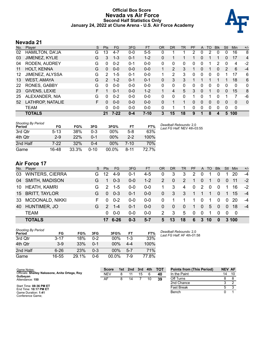### **Official Box Score Nevada vs Air Force Second Half Statistics Only January 24, 2022 at Clune Arena - U.S. Air Force Academy**



# **Nevada 21**

| No. | Player                 | S  | Pts           | FG       | 3FG     | <b>FT</b> | 0R       | <b>DR</b>      | <b>TR</b> | PF       | A | TO       | <b>Blk</b> | Stl | <b>Min</b> | $+/-$          |
|-----|------------------------|----|---------------|----------|---------|-----------|----------|----------------|-----------|----------|---|----------|------------|-----|------------|----------------|
| 02  | <b>HAMILTON, DA'JA</b> | G  | 13            | $4 - 7$  | $0 - 0$ | $5-5$     | 0        |                |           | 2        | 0 | 2        | $\Omega$   | 0   | 16         | 8              |
| 03  | JIMENEZ, KYLIE         | G  | 3             | $1 - 3$  | 0-1     | $1 - 2$   | 0        |                |           |          | 0 |          |            | 0   | 17         | $\overline{4}$ |
| 04  | RODEN, AUDREY          | G  | 0             | $0 - 2$  | 0-1     | $0-0$     | 0        | 0              | 0         | 0        | 0 |          | 2          | 0   | 4          | $-2$           |
| 11  | <b>HOLT, KENNA</b>     | G  | 0             | $0 - 0$  | $0 - 0$ | $0 - 0$   |          | $\overline{2}$ | 3         |          | 0 |          | 0          | 2   | 6          | $-4$           |
| 12  | JIMENEZ, ALYSSA        | G  | 2             | $1 - 5$  | 0-1     | $0-0$     | 1        | 2              | 3         | 0        | 0 | 0        |            | 1   | 17         | 6              |
| 13  | <b>WEST, AMAYA</b>     | G  | $\mathcal{P}$ | $1 - 2$  | $0 - 1$ | $0 - 1$   | 0        | 3              | 3         |          |   |          |            | 1   | 18         | 6              |
| 22  | RONES, GABBY           | G  | $\Omega$      | $0 - 0$  | $0 - 0$ | $0-0$     | 0        | 0              | 0         | $\Omega$ | 0 | $\Omega$ | 0          | 0   | 0          | 0              |
| 23  | GIVENS, LEXIE          | F. |               | $0 - 1$  | $0 - 0$ | $1 - 2$   | 1.       | 4              | 5         | 3        | 0 | 1        | 0          | 0   | 15         | 8              |
| 25  | ALEXANDER, NIA         | G  | $\Omega$      | $0 - 2$  | $0 - 0$ | $0 - 0$   | $\Omega$ | 0              | 0         | 1        | 0 | 1        | U          | 1   | 7          | -6             |
| 52  | LATHROP, NATALIE       | F  | 0             | $0 - 0$  | $0 - 0$ | $0 - 0$   | 0        | 1              | 1         | $\Omega$ | 0 | 0        | 0          | 0   | 0          | 0              |
|     | <b>TEAM</b>            |    | 0             | $0 - 0$  | $0 - 0$ | $0 - 0$   | 0        |                | 1         | 0        | 0 | 0        | 0          | 0   | 0          |                |
|     | <b>TOTALS</b>          |    | 21            | $7 - 22$ | $0 - 4$ | $7-10$    | 3        | 15             | 18        | 9        | 1 | 8        | 4          | 5   | 100        |                |

| <b>Shooting By Period</b><br>Period | FG       | FG%   | 3FG  | 3FG%     | FT       | FT%  | Deadball Rebounds: 2,0<br>Last FG Half: NEV 4th-03:55 |
|-------------------------------------|----------|-------|------|----------|----------|------|-------------------------------------------------------|
| 3rd Qtr                             | $5 - 13$ | 38%   | 0-3  | 00%      | $5-8$    | 63%  |                                                       |
| 4th Otr                             | $2-9$    | 22%   | 0-1  | $00\%$   | $2 - 2$  | 100% |                                                       |
| 2nd Half                            | 7-22     | 32%   | 0-4  | $00\%$   | 7-10     | 70%  |                                                       |
| Game                                | 16-48    | 33.3% | 0-10 | $00.0\%$ | $8 - 11$ | 727% |                                                       |

# **Air Force 17**

| No. | Player                 | S. | <b>Pts</b>    | FG.     | 3FG     | FT.     | OR             | DR.            | TR.      | <b>PF</b>      |                | A TO        | <b>BIK</b>   | Stl            | Min   | $+/-$ |
|-----|------------------------|----|---------------|---------|---------|---------|----------------|----------------|----------|----------------|----------------|-------------|--------------|----------------|-------|-------|
| 03  | <b>WINTERS, CIERRA</b> | G. | 12            | $4-9$   | $0 - 1$ | $4-5$   | 0              | 3              | 3        | 2              | 0              |             |              |                | 20    | -4    |
| 04  | SMITH, MADISON         | G  | 1             | $0 - 3$ | $0 - 0$ | $1 - 2$ | 2              | $\mathbf{0}$   | 2        | $\mathbf{1}$   | $\mathbf{0}$   | -1          | $\mathbf{0}$ | $\overline{0}$ | 11    | $-2$  |
|     | 10 HEATH, KAMRI        | G  | $\mathcal{P}$ | $1 - 5$ | $0 - 0$ | $0 - 0$ | 1.             | 3              | 4        | $\mathbf{0}$   | 2              | 0           | $\mathbf{0}$ | 1              | 16    | $-2$  |
|     | 15 BRITT, TAYLOR       | G  | $\Omega$      | $0 - 3$ | $0 - 1$ | $0 - 0$ | $\overline{0}$ | 3              | 3        | $\overline{1}$ | $\overline{1}$ | $\mathbf 1$ | $\mathbf{0}$ | $\overline{1}$ | -15   | $-4$  |
| 33  | <b>MCDONALD, NIKKI</b> | F. | 0             | $0 - 2$ | $0 - 0$ | $0 - 0$ | 0              |                |          | 1              | $\mathbf 0$    | 1           | $\mathbf 0$  | $\mathbf 0$    | 20    | -4    |
| 40  | HUNTIMER, JO           | G. | $\mathcal{P}$ | -1-4    | $0 - 1$ | $0 - 0$ | 0              | $\overline{0}$ | $\Omega$ | $\mathbf 1$    | $\overline{0}$ | 5           | $\Omega$     | $\Omega$       | 18    | $-4$  |
|     | <b>TEAM</b>            |    | 0             | 0-0     | $0 - 0$ | $0 - 0$ | 2              | -3             | 5        | $\Omega$       | $\Omega$       | 1           | $\Omega$     | $\Omega$       | - 0   |       |
|     | <b>TOTALS</b>          |    | 17            | 6-26    | $0 - 3$ | $5 - 7$ | 5              | 13             | 18       | 6              | $\mathbf{3}$   | 10          | $\bf{0}$     |                | 3,100 |       |

| Shooting By Period<br><b>Period</b> | FG       | FG%   | 3FG     | 3FG%   | FT  | FT%   |
|-------------------------------------|----------|-------|---------|--------|-----|-------|
| 3rd Qtr                             | $3 - 17$ | 18%   | በ-2     | $00\%$ | 1-3 | 33%   |
| 4th Qtr                             | $3-9$    | 33%   | በ-1     | $00\%$ | 4-4 | 100%  |
| 2nd Half                            | $6 - 26$ | 23%   | $0 - 3$ | $00\%$ | 5-7 | 71%   |
| Game                                | 16-55    | 29.1% | 0-6     | 00.0%  | 7-9 | 77.8% |

*Deadball Rebounds:* 2,0 *Last FG Half:* AF 4th-01:58

| Game Notes:                                      | <b>Score</b> | 1st l | 2nd | 3rd | 4th | <b>TOT</b> | <b>Points from (This Period)</b> | <b>NEV AF</b> |    |
|--------------------------------------------------|--------------|-------|-----|-----|-----|------------|----------------------------------|---------------|----|
| Officials: Shelley Nakasone, Anita Ortega, Roy   | NEV          | 8     |     | 15  |     | -40        | In the Paint                     | 14            | 10 |
| Gulbeyan<br>Attendance: 150                      | AF           |       | 14  |     | 10  | 39         | Off Turns                        |               |    |
|                                                  |              |       |     |     |     |            | 2nd Chance                       |               |    |
| Start Time: 08:36 PM ET<br>End Time: 10:17 PM ET |              |       |     |     |     |            | Fast Break                       |               |    |
| Game Duration: 1:41<br>Conference Game:          |              |       |     |     |     |            | Bench                            |               |    |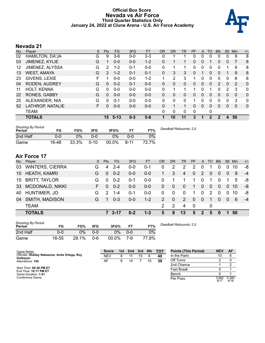### **Official Box Score Nevada vs Air Force Third Quarter Statistics Only January 24, 2022 at Clune Arena - U.S. Air Force Academy**



# **Nevada 21**

| No. | Plaver                 | S  | <b>Pts</b>     | <b>FG</b> | 3FG     | <b>FT</b> | <b>OR</b> | <b>DR</b> | TR | PF       | A        | TO       | <b>Blk</b> | Stl          | Min          | $+/-$        |
|-----|------------------------|----|----------------|-----------|---------|-----------|-----------|-----------|----|----------|----------|----------|------------|--------------|--------------|--------------|
| 02  | <b>HAMILTON, DA'JA</b> | G  | 9              | $3-6$     | $0-0$   | $3 - 3$   | 0         |           |    | 0        | 0        | 0        | 0          | 0            | 9            | 8            |
| 03  | JIMENEZ, KYLIE         | G  |                | $0 - 0$   | $0 - 0$ | $1 - 2$   | 0         |           |    | 0        | $\Omega$ |          | 0          | $\mathbf{0}$ | 7            | 8            |
| 12  | JIMENEZ, ALYSSA        | G  | 2              | $1 - 2$   | $0 - 1$ | $0 - 0$   | 0         |           |    | 0        | 0        | 0        | 0          |              | 9            | 8            |
| 13  | <b>WEST, AMAYA</b>     | G  | $\overline{2}$ | $1 - 2$   | $0 - 1$ | $0 - 1$   | $\Omega$  | 3         | 3  | 0        |          | 0        | 0          |              | 9            | 8            |
| 23  | GIVENS, LEXIE          | F  |                | $0 - 0$   | $0 - 0$ | $1 - 2$   | 1         | 2         | 3  |          | 0        | 0        | 0          | 0            | 8            | 8            |
| 04  | <b>RODEN, AUDREY</b>   | G  | $\Omega$       | $0 - 2$   | $0 - 1$ | $0 - 0$   | $\Omega$  | 0         | 0  | 0        | $\Omega$ | 0        | 2          | $\Omega$     | 2            | 0            |
| 11  | <b>HOLT, KENNA</b>     | G  | 0              | $0 - 0$   | $0 - 0$ | $0 - 0$   | 0         |           | 1  |          | 0        |          | 0          | 2            | 3            | 0            |
| 22  | RONES, GABBY           | G  | 0              | $0 - 0$   | $0 - 0$ | $0 - 0$   | $\Omega$  | 0         | 0  | 0        | $\Omega$ | $\Omega$ | 0          | $\Omega$     | $\Omega$     | 0            |
| 25  | ALEXANDER, NIA         | G  | 0              | $0 - 1$   | $0 - 0$ | $0 - 0$   | $\Omega$  | 0         | 0  | 1        | 0        | $\Omega$ | 0          | $\Omega$     | 3            | $\mathbf{0}$ |
| 52  | LATHROP, NATALIE       | F. | 0              | $0 - 0$   | $0-0$   | $0 - 0$   | $\Omega$  |           | 1  | $\Omega$ | $\Omega$ | 0        | 0          | $\Omega$     | $\mathbf{0}$ | $\mathbf{0}$ |
|     | <b>TEAM</b>            |    |                |           |         |           | 0         | 0         | 0  | 0        |          | 0        |            |              |              |              |
|     | <b>TOTALS</b>          |    | 15             | $5 - 13$  | $0 - 3$ | $5 - 8$   |           | 10        | 11 | 3        |          | 2        | 2          | 4            | 50           |              |

| <b>Shooting By Period</b><br>Period | FG    | FG%   | 3FG      | 3FG%  | FT       | FT%   | Deadball Rebounds: 2,0 |
|-------------------------------------|-------|-------|----------|-------|----------|-------|------------------------|
| 2nd Half                            | 0-0   | 0%    | 0-0      | 0%    | 0-0      | 0%    |                        |
| Game                                | 16-48 | 33.3% | $0 - 10$ | 00.0% | $8 - 11$ | 72.7% |                        |

# **Air Force 17**

Conference Game;

| No. | Player                 | S. | <b>Pts</b> | <b>FG</b> | 3FG     | <b>FT</b> | <b>OR</b>      | <b>DR</b> | <b>TR</b> | <b>PF</b>               |                | A TO     | <b>Blk</b>   |                | Stl Min | $+/-$ |
|-----|------------------------|----|------------|-----------|---------|-----------|----------------|-----------|-----------|-------------------------|----------------|----------|--------------|----------------|---------|-------|
| 03  | <b>WINTERS, CIERRA</b> | G  | 4          | $2 - 4$   | $0 - 0$ | $0 - 1$   | 0              | 2         | 2         | 2                       | 0              |          | 0            | 0              | 10      | -8    |
| 10  | <b>HEATH, KAMRI</b>    | G  | $\Omega$   | $0 - 2$   | $0 - 0$ | $0 - 0$   | 1.             | 3         | 4         | 0                       | 2              | $\Omega$ | $\mathbf{0}$ | $\overline{0}$ | -9      | $-4$  |
|     | 15 BRITT, TAYLOR       | G  | $\Omega$   | $0 - 2$   | $0 - 1$ | $0 - 0$   | 0              |           |           | 1                       | $\mathbf{0}$   |          | $\Omega$     |                | 5       | -8    |
| 33  | MCDONALD, NIKKI        | F. | $\Omega$   | $0 - 2$   | $0 - 0$ | $0 - 0$   | $\overline{0}$ | $\Omega$  | 0         | $\mathbf 1$             | $\overline{0}$ | 0        | $\mathbf{0}$ | $\Omega$       | 10      | -8    |
| 40  | HUNTIMER, JO           | G  | 2          | $1 - 4$   | $0 - 1$ | $0 - 0$   | 0              | 0         | $\Omega$  | 1                       | $\Omega$       | 2        | $\Omega$     | $\mathbf 0$    | -10     | -8    |
| 04  | <b>SMITH, MADISON</b>  | G  | 1          | $0 - 3$   | $0 - 0$ | $1 - 2$   | 2              | $\Omega$  | 2         | $\Omega$                | $\Omega$       | 1        | $\mathbf{0}$ | $\overline{0}$ | 6       | $-4$  |
|     | <b>TEAM</b>            |    |            |           |         |           |                | 2         | 4         | $\overline{\mathbf{0}}$ |                | 0        |              |                |         |       |
|     | <b>TOTALS</b>          |    |            | 7 3-17    | $0 - 2$ | $1 - 3$   | 5              | 8         | 13        | 5                       | $\mathbf{P}$   | 5        | $\bf{0}$     |                | -50     |       |

| <b>Shooting By Period</b><br>Period | FG    | FG%   | 3FG | 3FG%  |     | FT%   |
|-------------------------------------|-------|-------|-----|-------|-----|-------|
| 2nd Half                            | 0-0   | 0%    | ი-ი | $0\%$ | ი-ი | 0%    |
| Game                                | 16-55 | 29.1% | റ-6 | 00.0% | 7-9 | 77.8% |

*Deadball Rebounds:* 2,0

| Game Notes:                                                | <b>Score</b> |   | 1st 2nd 3rd |    | 4th | тот |
|------------------------------------------------------------|--------------|---|-------------|----|-----|-----|
| Officials: Shelley Nakasone, Anita Ortega, Roy<br>Gulbeyan | NFV          | 8 |             | 15 | 6   | 40  |
| Attendance: 150                                            | AF.          | 8 | 14          |    | 10  | 39  |
| Start Time: 08:36 PM ET                                    |              |   |             |    |     |     |
| End Time: 10:17 PM ET<br>Game Duration: 1:41               |              |   |             |    |     |     |

| <b>Points (This Period)</b> | NEV           | AF            |
|-----------------------------|---------------|---------------|
| In the Paint                | 10            | հ             |
| Off Turns                   | 2             |               |
| 2nd Chance                  |               | 2             |
| <b>Fast Break</b>           | 5             |               |
| Bench                       | n             |               |
| Per Poss                    | 0.882<br>R/17 | 0.389<br>4/18 |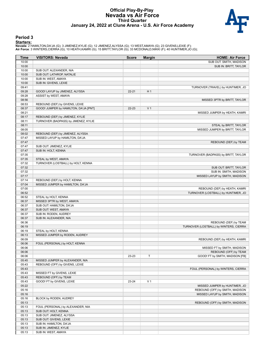#### **Official Play-By-Play Nevada vs Air Force Third Quarter January 24, 2022 at Clune Arena - U.S. Air Force Academy**



#### **Period 3**

<mark>Startersː</mark><br>Nevada: 2 HAMILTON,DA'JA (G); 3 JIMENEZ,KYLIE (G); 12 JIMENEZ,ALYSSA (G); 13 WEST,AMAYA (G); 23 GIVENS,LEXIE (F);<br>**Air Force**: 3 WINTERS,CIERRA (G); 10 HEATH,KAMRI (G); 15 BRITT,TAYLOR (G); 33 MCDONALD,NIKKI (F

| Time  | <b>VISITORS: Nevada</b>               | <b>Score</b> | <b>Margin</b>  | <b>HOME: Air Force</b>                 |
|-------|---------------------------------------|--------------|----------------|----------------------------------------|
| 10:00 |                                       |              |                | SUB OUT: SMITH, MADISON                |
| 10:00 |                                       |              |                | SUB IN: BRITT, TAYLOR                  |
| 10:00 | SUB OUT: ALEXANDER, NIA               |              |                |                                        |
| 10:00 | SUB OUT: LATHROP, NATALIE             |              |                |                                        |
| 10:00 | SUB IN: WEST, AMAYA                   |              |                |                                        |
| 10:00 | SUB IN: GIVENS, LEXIE                 |              |                |                                        |
| 09:41 |                                       |              |                | TURNOVER (TRAVEL) by HUNTIMER, JO      |
| 09:28 | GOOD! LAYUP by JIMENEZ, ALYSSA        | $22 - 21$    | H <sub>1</sub> |                                        |
| 09:28 | ASSIST by WEST, AMAYA                 |              |                |                                        |
| 08:56 |                                       |              |                | MISSED 3PTR by BRITT, TAYLOR           |
| 08:53 | REBOUND (DEF) by GIVENS, LEXIE        |              |                |                                        |
| 08:37 | GOOD! JUMPER by HAMILTON, DA'JA [PNT] | 22-23        | V <sub>1</sub> |                                        |
| 08:21 |                                       |              |                | MISSED JUMPER by HEATH, KAMRI          |
| 08:17 | REBOUND (DEF) by JIMENEZ, KYLIE       |              |                |                                        |
| 08:11 | TURNOVER (BADPASS) by JIMENEZ, KYLIE  |              |                |                                        |
| 08:11 |                                       |              |                | STEAL by BRITT, TAYLOR                 |
| 08:05 |                                       |              |                | MISSED JUMPER by BRITT, TAYLOR         |
| 08:02 | REBOUND (DEF) by JIMENEZ, ALYSSA      |              |                |                                        |
| 07:47 | MISSED LAYUP by HAMILTON, DA'JA       |              |                |                                        |
| 07:47 |                                       |              |                | REBOUND (DEF) by TEAM                  |
| 07:47 | SUB OUT: JIMENEZ, KYLIE               |              |                |                                        |
| 07:47 | SUB IN: HOLT, KENNA                   |              |                |                                        |
| 07:35 |                                       |              |                | TURNOVER (BADPASS) by BRITT, TAYLOR    |
| 07:35 | STEAL by WEST, AMAYA                  |              |                |                                        |
| 07:32 | TURNOVER (LOSTBALL) by HOLT, KENNA    |              |                |                                        |
| 07:32 |                                       |              |                | SUB OUT: BRITT, TAYLOR                 |
| 07:32 |                                       |              |                | SUB IN: SMITH, MADISON                 |
| 07:17 |                                       |              |                | MISSED LAYUP by SMITH, MADISON         |
| 07:14 | REBOUND (DEF) by HOLT, KENNA          |              |                |                                        |
| 07:04 | MISSED JUMPER by HAMILTON, DA'JA      |              |                |                                        |
| 07:00 |                                       |              |                | REBOUND (DEF) by HEATH, KAMRI          |
| 06:52 |                                       |              |                | TURNOVER (LOSTBALL) by HUNTIMER, JO    |
| 06:52 | STEAL by HOLT, KENNA                  |              |                |                                        |
| 06:37 | MISSED 3PTR by WEST, AMAYA            |              |                |                                        |
| 06:37 | SUB OUT: HAMILTON, DA'JA              |              |                |                                        |
| 06:37 | SUB OUT: WEST, AMAYA                  |              |                |                                        |
| 06:37 | SUB IN: RODEN, AUDREY                 |              |                |                                        |
| 06:37 | SUB IN: ALEXANDER, NIA                |              |                |                                        |
| 06:36 |                                       |              |                | REBOUND (DEF) by TEAM                  |
| 06:19 |                                       |              |                | TURNOVER (LOSTBALL) by WINTERS, CIERRA |
| 06:19 | STEAL by HOLT, KENNA                  |              |                |                                        |
| 06:13 | MISSED JUMPER by RODEN, AUDREY        |              |                |                                        |
| 06:09 |                                       |              |                | REBOUND (DEF) by HEATH, KAMRI          |
| 06:06 | FOUL (PERSONAL) by HOLT, KENNA        |              |                |                                        |
| 06:06 |                                       |              |                | MISSED FT by SMITH, MADISON            |
| 06:06 |                                       |              |                | REBOUND (OFF) by TEAM                  |
| 06:06 |                                       | 23-23        | Т              | GOOD! FT by SMITH, MADISON [FB]        |
| 05:45 | MISSED JUMPER by ALEXANDER, NIA       |              |                |                                        |
| 05:43 | REBOUND (OFF) by GIVENS, LEXIE        |              |                |                                        |
| 05:43 |                                       |              |                | FOUL (PERSONAL) by WINTERS, CIERRA     |
| 05:43 | MISSED FT by GIVENS, LEXIE            |              |                |                                        |
| 05:43 | REBOUND (OFF) by TEAM                 |              |                |                                        |
| 05:43 | GOOD! FT by GIVENS, LEXIE             | 23-24        | V <sub>1</sub> |                                        |
| 05:22 |                                       |              |                | MISSED JUMPER by HUNTIMER, JO          |
| 05:16 |                                       |              |                | REBOUND (OFF) by SMITH, MADISON        |
| 05:16 |                                       |              |                | MISSED LAYUP by SMITH, MADISON         |
| 05:16 | BLOCK by RODEN, AUDREY                |              |                |                                        |
| 05:13 |                                       |              |                | REBOUND (OFF) by SMITH, MADISON        |
| 05:13 | FOUL (PERSONAL) by ALEXANDER, NIA     |              |                |                                        |
| 05:13 | SUB OUT: HOLT, KENNA                  |              |                |                                        |
| 05:13 | SUB OUT: JIMENEZ, ALYSSA              |              |                |                                        |
| 05:13 | SUB OUT: GIVENS, LEXIE                |              |                |                                        |
| 05:13 | SUB IN: HAMILTON, DA'JA               |              |                |                                        |
| 05:13 | SUB IN: JIMENEZ, KYLIE                |              |                |                                        |
| 05:13 | SUB IN: WEST, AMAYA                   |              |                |                                        |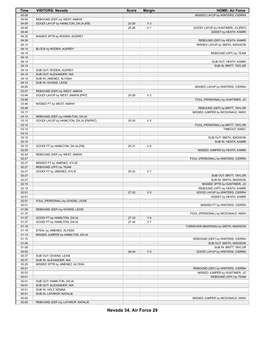| <b>Time</b> | <b>VISITORS: Nevada</b>                 | <b>Score</b> | <b>Margin</b>  | <b>HOME: Air Force</b>               |
|-------------|-----------------------------------------|--------------|----------------|--------------------------------------|
| 05:09       |                                         |              |                | MISSED LAYUP by WINTERS, CIERRA      |
| 05:05       | REBOUND (DEF) by WEST, AMAYA            |              |                |                                      |
| 04:59       | GOOD! LAYUP by HAMILTON, DA'JA [FB]     | 23-26        | $V_3$          |                                      |
| 04:40       |                                         | 25-26        | V <sub>1</sub> | GOOD! LAYUP by HUNTIMER, JO [PNT]    |
| 04:40       |                                         |              |                | ASSIST by HEATH, KAMRI               |
| 04:32       | MISSED 3PTR by RODEN, AUDREY            |              |                |                                      |
| 04:28       |                                         |              |                | REBOUND (DEF) by HEATH, KAMRI        |
| 04:14       |                                         |              |                | MISSED LAYUP by SMITH, MADISON       |
| 04:14       | BLOCK by RODEN, AUDREY                  |              |                |                                      |
| 04:14       |                                         |              |                | REBOUND (OFF) by TEAM                |
| 04:14       |                                         |              |                |                                      |
| 04:14       |                                         |              |                | SUB OUT: HEATH, KAMRI                |
| 04:14       |                                         |              |                | SUB IN: BRITT, TAYLOR                |
| 04:14       | SUB OUT: RODEN, AUDREY                  |              |                |                                      |
| 04:14       | SUB OUT: ALEXANDER, NIA                 |              |                |                                      |
| 04:14       | SUB IN: JIMENEZ, ALYSSA                 |              |                |                                      |
| 04:14       | SUB IN: GIVENS, LEXIE                   |              |                |                                      |
| 04:00       |                                         |              |                | MISSED LAYUP by WINTERS, CIERRA      |
| 03:57       | REBOUND (DEF) by WEST, AMAYA            |              |                |                                      |
| 03:46       | GOOD! LAYUP by WEST, AMAYA [PNT]        | 25-28        | $V_3$          |                                      |
| 03:46       |                                         |              |                | FOUL (PERSONAL) by HUNTIMER, JO      |
| 03:46       | MISSED FT by WEST, AMAYA                |              |                |                                      |
| 03:45       |                                         |              |                | REBOUND (DEF) by BRITT, TAYLOR       |
| 03:17       |                                         |              |                | MISSED JUMPER by MCDONALD, NIKKI     |
| 03:13       | REBOUND (DEF) by HAMILTON, DA'JA        |              |                |                                      |
| 03:10       | GOOD! LAYUP by HAMILTON, DA'JA [FB/PNT] | 25-30        | V <sub>5</sub> |                                      |
| 03:10       |                                         |              |                | FOUL (PERSONAL) by BRITT, TAYLOR     |
| 03:10       |                                         |              |                | TIMEOUT 30SEC                        |
| 03:10       |                                         |              |                |                                      |
| 03:10       |                                         |              |                | SUB OUT: SMITH, MADISON              |
| 03:10       |                                         |              |                | SUB IN: HEATH, KAMRI                 |
| 03:10       | GOOD! FT by HAMILTON, DA'JA [FB]        | 25-31        | $V_6$          |                                      |
| 02:55       |                                         |              |                | MISSED JUMPER by HEATH, KAMRI        |
| 02:52       | REBOUND (DEF) by WEST, AMAYA            |              |                |                                      |
| 02:27       |                                         |              |                | FOUL (PERSONAL) by WINTERS, CIERRA   |
| 02:27       | MISSED FT by JIMENEZ, KYLIE             |              |                |                                      |
| 02:27       | REBOUND (OFF) by TEAM                   |              |                |                                      |
| 02:27       | GOOD! FT by JIMENEZ, KYLIE              | 25-32        | V <sub>7</sub> |                                      |
| 02:27       |                                         |              |                | SUB OUT: BRITT, TAYLOR               |
| 02:27       |                                         |              |                | SUB IN: SMITH, MADISON               |
| 02:15       |                                         |              |                | MISSED 3PTR by HUNTIMER, JO          |
| 02:12       |                                         |              |                | REBOUND (OFF) by HEATH, KAMRI        |
| 02:01       |                                         | 27-32        | V <sub>5</sub> | GOOD! LAYUP by WINTERS, CIERRA       |
| 02:01       |                                         |              |                | ASSIST by HEATH, KAMRI               |
| 02:01       | FOUL (PERSONAL) by GIVENS, LEXIE        |              |                |                                      |
| 02:01       |                                         |              |                | MISSED FT by WINTERS, CIERRA         |
| 01:59       | REBOUND (DEF) by GIVENS, LEXIE          |              |                |                                      |
| 01:37       |                                         |              |                | FOUL (PERSONAL) by MCDONALD, NIKKI   |
| 01:37       | GOOD! FT by HAMILTON, DA'JA             | 27-33        | $V_6$          |                                      |
| 01:37       | GOOD! FT by HAMILTON, DA'JA             | 27-34        | V <sub>7</sub> |                                      |
| 01:18       |                                         |              |                | TURNOVER (BADPASS) by SMITH, MADISON |
| 01:18       | STEAL by JIMENEZ, ALYSSA                |              |                |                                      |
| 01:13       | MISSED JUMPER by HAMILTON, DA'JA        |              |                |                                      |
| 01:10       |                                         |              |                | REBOUND (DEF) by WINTERS, CIERRA     |
| 01:09       |                                         |              |                | SUB OUT: SMITH, MADISON              |
| 01:09       |                                         |              |                | SUB IN: BRITT, TAYLOR                |
| 00:52       |                                         | 29-34        | V <sub>5</sub> | GOOD! LAYUP by WINTERS, CIERRA       |
| 00:37       | SUB OUT: GIVENS, LEXIE                  |              |                |                                      |
| 00:37       | SUB IN: ALEXANDER, NIA                  |              |                |                                      |
| 00:25       | MISSED 3PTR by JIMENEZ, ALYSSA          |              |                |                                      |
| 00:21       |                                         |              |                | REBOUND (DEF) by WINTERS, CIERRA     |
| 00:03       |                                         |              |                | MISSED JUMPER by HUNTIMER, JO        |
| 00:01       |                                         |              |                | REBOUND (OFF) by TEAM                |
| 00:01       | SUB OUT: HAMILTON, DA'JA                |              |                |                                      |
| 00:01       | SUB OUT: ALEXANDER, NIA                 |              |                |                                      |
| 00:01       | SUB IN: HOLT, KENNA                     |              |                |                                      |
| 00:01       | SUB IN: LATHROP, NATALIE                |              |                |                                      |
| 00:00       |                                         |              |                | MISSED JUMPER by MCDONALD, NIKKI     |
| 00:00       | REBOUND (DEF) by LATHROP, NATALIE       |              |                |                                      |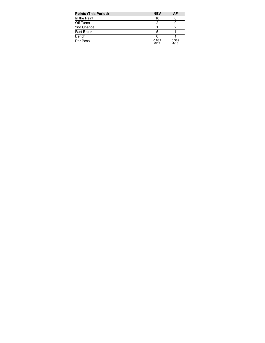| <b>Points (This Period)</b> | <b>NEV</b>    | AF            |
|-----------------------------|---------------|---------------|
| In the Paint                | 10            |               |
| Off Turns                   |               |               |
| 2nd Chance                  |               |               |
| <b>Fast Break</b>           | 5             |               |
| Bench                       |               |               |
| Per Poss                    | 0.882<br>R/17 | 0.389<br>4/18 |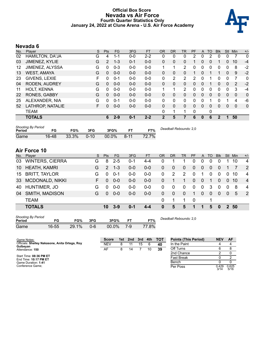#### **Official Box Score Nevada vs Air Force Fourth Quarter Statistics Only January 24, 2022 at Clune Arena - U.S. Air Force Academy**



# **Nevada 6**

| No. | Plaver                 | S  | Pts            | FG      | 3FG     | <b>FT</b> | <b>OR</b>    | <b>DR</b> | TR | <b>PF</b> | A        | TO       | <b>Blk</b> | <b>Stl</b>     | <b>Min</b> | $+/-$ |
|-----|------------------------|----|----------------|---------|---------|-----------|--------------|-----------|----|-----------|----------|----------|------------|----------------|------------|-------|
| 02  | <b>HAMILTON, DA'JA</b> | G  | 4              | 1-1     | $0-0$   | $2 - 2$   | 0            | 0         | 0  | 2         | 0        | 2        | 0          | 0              |            | 0     |
| 03  | JIMENEZ, KYLIE         | G  | $\overline{2}$ | $1 - 3$ | $0 - 1$ | $0 - 0$   | $\Omega$     | $\Omega$  | 0  |           | 0        | 0        |            | 0              | 10         | $-4$  |
| 12  | JIMENEZ, ALYSSA        | G  | 0              | $0 - 3$ | $0 - 0$ | $0 - 0$   |              | 1         | 2  | 0         | 0        | 0        | 0          | 0              | 8          | $-2$  |
| 13  | <b>WEST, AMAYA</b>     | G  | $\Omega$       | $0 - 0$ | $0 - 0$ | $0 - 0$   | 0            | $\Omega$  | 0  |           | 0        |          |            | $\Omega$       | 9          | $-2$  |
| 23  | GIVENS, LEXIE          | F  | 0              | $0 - 1$ | $0 - 0$ | $0 - 0$   | 0            | 2         | 2  | 2         | $\Omega$ |          | 0          | 0              | 7          | 0     |
| 04  | <b>RODEN, AUDREY</b>   | G  | $\mathbf{0}$   | $0 - 0$ | $0 - 0$ | $0 - 0$   | $\Omega$     | 0         | 0  | $\Omega$  | $\Omega$ |          | 0          | $\overline{0}$ | 2          | $-2$  |
| 11  | <b>HOLT, KENNA</b>     | G  | 0              | $0 - 0$ | $0 - 0$ | $0 - 0$   |              |           | 2  | $\Omega$  | 0        | 0        | 0          | 0              | 3          | $-4$  |
| 22  | <b>RONES, GABBY</b>    | G  | $\Omega$       | $0 - 0$ | $0 - 0$ | $0 - 0$   | $\Omega$     | 0         | 0  | $\Omega$  | $\Omega$ | $\Omega$ | $\Omega$   | 0              | $\Omega$   | 0     |
| 25  | ALEXANDER, NIA         | G  | 0              | $0 - 1$ | $0 - 0$ | $0 - 0$   | $\Omega$     | 0         | 0  | 0         | $\Omega$ |          | 0          |                | 4          | -6    |
| 52  | LATHROP, NATALIE       | F. | $\Omega$       | $0 - 0$ | $0 - 0$ | $0 - 0$   | $\mathbf{0}$ | $\Omega$  | 0  | $\Omega$  | $\Omega$ | $\Omega$ | 0          | $\Omega$       | $\Omega$   | 0     |
|     | <b>TEAM</b>            |    |                |         |         |           | 0            | 1         | 1  | 0         |          | 0        |            |                |            |       |
|     | <b>TOTALS</b>          |    | 6              | $2 - 9$ | $0 - 1$ | $2 - 2$   | 2            | 5         |    | 6         | $\bf{0}$ | 6        | 2          |                | 50         |       |
|     |                        |    |                |         |         |           |              |           |    |           |          |          |            |                |            |       |

| <b>Shooting By Period</b><br>Period | FG    | FG%   | 3FG      | 3FG%  |          | FT%   | Deadball Rebounds: 2,0 |
|-------------------------------------|-------|-------|----------|-------|----------|-------|------------------------|
| Game                                | 16-48 | 33.3% | $0 - 10$ | 00.0% | $8 - 11$ | 72.7% |                        |

# **Air Force 10**

|    | No. Player             | S. | <b>Pts</b>    | FG      | 3FG     | <b>FT</b> | <b>OR</b> | <b>DR</b> | <b>TR</b>      | <b>PF</b>      | A              | TO       | <b>Blk</b>     | Stl            | Min. | $+/-$          |
|----|------------------------|----|---------------|---------|---------|-----------|-----------|-----------|----------------|----------------|----------------|----------|----------------|----------------|------|----------------|
| 03 | <b>WINTERS, CIERRA</b> | G  | 8             | $2 - 5$ | $0 - 1$ | 4-4       | 0         |           |                | 0              | 0              | $\Omega$ | $\Omega$       |                | 10   | 4              |
| 10 | <b>HEATH, KAMRI</b>    | G  | $\mathcal{P}$ | $1 - 3$ | $0 - 0$ | $0 - 0$   | 0         | 0         | $\overline{0}$ | $\overline{0}$ | $\overline{0}$ | $\Omega$ | 0              |                |      | 2              |
| 15 | <b>BRITT, TAYLOR</b>   | G  | $\Omega$      | $0 - 1$ | $0 - 0$ | $0 - 0$   | 0         | 2         | 2              | $\Omega$       | 1              | $\Omega$ | $\Omega$       | $\mathbf 0$    | 10   | $\overline{4}$ |
| 33 | <b>MCDONALD, NIKKI</b> | F. | 0             | $0 - 0$ | $0 - 0$ | $0 - 0$   | 0         |           | 1.             | $\Omega$       | $\Omega$       |          | $\mathbf{0}$   | $\Omega$       | 10   | $\overline{4}$ |
| 40 | HUNTIMER, JO           | G  | $\Omega$      | $0 - 0$ | ი-ი     | $0 - 0$   | 0         | 0         | $\Omega$       | 0              | 0              | 3        | $\Omega$       | $\mathbf 0$    | 8    | 4              |
| 04 | <b>SMITH, MADISON</b>  | G  | $\Omega$      | $0 - 0$ | $0 - 0$ | $0 - 0$   | 0         | 0         | 0              | 1              | $\Omega$       | $\Omega$ | $\overline{0}$ | $\overline{0}$ | 5    | $\overline{2}$ |
|    | <b>TEAM</b>            |    |               |         |         |           | 0         |           |                | - 0            |                |          |                |                |      |                |
|    | <b>TOTALS</b>          |    | 10            | $3-9$   | $0 - 1$ | $4 - 4$   | 0         | 5         | 5              | 1              | 1              | 5        | 0              |                | 2 50 |                |
|    |                        |    |               |         |         |           |           |           |                |                |                |          |                |                |      |                |

| Shooting By Period<br>Period | FG        | FG%   | 3FG | 3FG%  |     | FT%   |
|------------------------------|-----------|-------|-----|-------|-----|-------|
| Game                         | $16 - 55$ | 29.1% | ი-ი | 00.0% | 7-9 | 77.8% |

*Deadball Rebounds:* 2,0

| Game Notes:                                                | <b>Score</b> | 1st l | 2nd | 3rd | 4th | тот | <b>Points (This Period)</b> | <b>NEV</b>    | AF            |
|------------------------------------------------------------|--------------|-------|-----|-----|-----|-----|-----------------------------|---------------|---------------|
| Officials: Shelley Nakasone, Anita Ortega, Roy<br>Gulbeyan | <b>NEV</b>   |       |     | 15  |     | 40  | In the Paint                |               |               |
| Attendance: 150                                            | AF           | 8     | 14  |     | 10  | 39  | Off Turns                   |               |               |
|                                                            |              |       |     |     |     |     | 2nd Chance                  |               |               |
| Start Time: 08:36 PM ET<br>End Time: 10:17 PM ET           |              |       |     |     |     |     | <b>Fast Break</b>           |               | ົ             |
| Game Duration: 1:41                                        |              |       |     |     |     |     | Bench                       |               |               |
| Conference Game:                                           |              |       |     |     |     |     | Per Poss                    | 0.429<br>3/14 | 0.625<br>5/16 |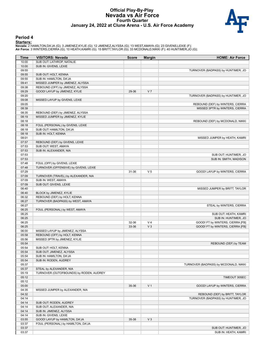#### **Official Play-By-Play Nevada vs Air Force Fourth Quarter January 24, 2022 at Clune Arena - U.S. Air Force Academy**



#### **Period 4**

#### **Starters:**

**Nevada**: 2 HAMILTON,DA'JA (G); 3 JIMENEZ,KYLIE (G); 12 JIMENEZ,ALYSSA (G); 13 WEST,AMAYA (G); 23 GIVENS,LEXIE (F);<br>**Air Force**: 3 WINTERS,CIERRA (G); 10 HEATH,KAMRI (G); 15 BRITT,TAYLOR (G); 33 MCDONALD,NIKKI (F); 40 HUNT

| SUB OUT: LATHROP, NATALIE<br>10:00<br>10:00<br>SUB IN: GIVENS, LEXIE<br>09:55<br>TURNOVER (BADPASS) by HUNTIMER, JO<br>09:55<br>SUB OUT: HOLT, KENNA<br>09:55<br>SUB IN: HAMILTON, DA'JA<br>09:41<br>MISSED JUMPER by JIMENEZ, ALYSSA<br>09:38<br>REBOUND (OFF) by JIMENEZ, ALYSSA<br>V <sub>7</sub><br>09:29<br>GOOD! LAYUP by JIMENEZ, KYLIE<br>29-36<br>09:20<br>TURNOVER (BADPASS) by HUNTIMER, JO<br>09:08<br>MISSED LAYUP by GIVENS, LEXIE<br>09:05<br>REBOUND (DEF) by WINTERS, CIERRA<br>08:39<br>MISSED 3PTR by WINTERS, CIERRA<br>08:35<br>REBOUND (DEF) by JIMENEZ, ALYSSA<br>08:19<br>MISSED JUMPER by JIMENEZ, KYLIE<br>08:18<br>REBOUND (DEF) by MCDONALD, NIKKI<br>08:18<br>FOUL (PERSONAL) by GIVENS, LEXIE<br>08:18<br>SUB OUT: HAMILTON, DA'JA<br>08:18<br>SUB IN: HOLT, KENNA<br>08:01<br>MISSED JUMPER by HEATH, KAMRI<br>07:57<br>REBOUND (DEF) by GIVENS, LEXIE<br>07:53<br>SUB OUT: WEST, AMAYA<br>07:53<br>SUB IN: ALEXANDER, NIA<br>07:53<br>SUB OUT: HUNTIMER, JO<br>07:53<br>SUB IN: SMITH, MADISON<br>07:48<br>FOUL (OFF) by GIVENS, LEXIE<br>07:48<br>TURNOVER (OFFENSIVE) by GIVENS, LEXIE<br>07:29<br>V <sub>5</sub><br>31-36<br>GOOD! LAYUP by WINTERS, CIERRA<br>07:09<br>TURNOVER (TRAVEL) by ALEXANDER, NIA<br>07:09<br>SUB IN: WEST, AMAYA<br>07:09<br>SUB OUT: GIVENS, LEXIE<br>06:40<br>MISSED JUMPER by BRITT, TAYLOR<br>06:40<br>BLOCK by JIMENEZ, KYLIE<br>06:32<br>REBOUND (DEF) by HOLT, KENNA<br>06:27<br>TURNOVER (BADPASS) by WEST, AMAYA<br>06:27<br>STEAL by WINTERS, CIERRA<br>06:25<br>FOUL (PERSONAL) by WEST, AMAYA<br>06:25<br>SUB OUT: HEATH, KAMRI<br>06:25<br>SUB IN: HUNTIMER, JO<br>06:25<br>V <sub>4</sub><br>32-36<br>GOOD! FT by WINTERS, CIERRA [FB]<br>V <sub>3</sub><br>06:25<br>33-36<br>GOOD! FT by WINTERS, CIERRA [FB]<br>06:00<br>MISSED LAYUP by JIMENEZ, ALYSSA<br>05:58<br>REBOUND (OFF) by HOLT, KENNA<br>05:56<br>MISSED 3PTR by JIMENEZ, KYLIE<br>05:54<br>REBOUND (DEF) by TEAM<br>05:54<br>SUB OUT: HOLT, KENNA<br>SUB OUT: JIMENEZ, ALYSSA<br>05:54<br>05:54<br>SUB IN: HAMILTON, DA'JA<br>05:54<br>SUB IN: RODEN, AUDREY<br>05:37<br>TURNOVER (BADPASS) by MCDONALD, NIKKI<br>05:37<br>STEAL by ALEXANDER, NIA<br>05:19<br>TURNOVER (OUTOFBOUNDS) by RODEN, AUDREY<br>05:12<br>TIMEOUT 30SEC<br>05:12<br>05:00<br>V <sub>1</sub><br>35-36<br>GOOD! LAYUP by WINTERS, CIERRA<br>04:35<br>MISSED JUMPER by ALEXANDER, NIA<br>04:32<br>REBOUND (DEF) by BRITT, TAYLOR<br>04:14<br>TURNOVER (BADPASS) by HUNTIMER, JO<br>04:14<br>SUB OUT: RODEN, AUDREY<br>04:14<br>SUB OUT: ALEXANDER, NIA<br>04:14<br>SUB IN: JIMENEZ, ALYSSA<br>04:14<br>SUB IN: GIVENS, LEXIE<br>03:55<br>GOOD! LAYUP by HAMILTON, DA'JA<br>35-38<br>$V_3$<br>03:37<br>FOUL (PERSONAL) by HAMILTON, DA'JA<br>03:37<br>SUB OUT: HUNTIMER, JO<br>03:37<br>SUB IN: HEATH, KAMRI | Time | <b>VISITORS: Nevada</b> | <b>Score</b> | <b>Margin</b> | <b>HOME: Air Force</b> |
|------------------------------------------------------------------------------------------------------------------------------------------------------------------------------------------------------------------------------------------------------------------------------------------------------------------------------------------------------------------------------------------------------------------------------------------------------------------------------------------------------------------------------------------------------------------------------------------------------------------------------------------------------------------------------------------------------------------------------------------------------------------------------------------------------------------------------------------------------------------------------------------------------------------------------------------------------------------------------------------------------------------------------------------------------------------------------------------------------------------------------------------------------------------------------------------------------------------------------------------------------------------------------------------------------------------------------------------------------------------------------------------------------------------------------------------------------------------------------------------------------------------------------------------------------------------------------------------------------------------------------------------------------------------------------------------------------------------------------------------------------------------------------------------------------------------------------------------------------------------------------------------------------------------------------------------------------------------------------------------------------------------------------------------------------------------------------------------------------------------------------------------------------------------------------------------------------------------------------------------------------------------------------------------------------------------------------------------------------------------------------------------------------------------------------------------------------------------------------------------------------------------------------------------------------------------------------------------------------------------------------------------------------------------------------------------------------------------------------------------------------------------------------------------------------------------------------|------|-------------------------|--------------|---------------|------------------------|
|                                                                                                                                                                                                                                                                                                                                                                                                                                                                                                                                                                                                                                                                                                                                                                                                                                                                                                                                                                                                                                                                                                                                                                                                                                                                                                                                                                                                                                                                                                                                                                                                                                                                                                                                                                                                                                                                                                                                                                                                                                                                                                                                                                                                                                                                                                                                                                                                                                                                                                                                                                                                                                                                                                                                                                                                                              |      |                         |              |               |                        |
|                                                                                                                                                                                                                                                                                                                                                                                                                                                                                                                                                                                                                                                                                                                                                                                                                                                                                                                                                                                                                                                                                                                                                                                                                                                                                                                                                                                                                                                                                                                                                                                                                                                                                                                                                                                                                                                                                                                                                                                                                                                                                                                                                                                                                                                                                                                                                                                                                                                                                                                                                                                                                                                                                                                                                                                                                              |      |                         |              |               |                        |
|                                                                                                                                                                                                                                                                                                                                                                                                                                                                                                                                                                                                                                                                                                                                                                                                                                                                                                                                                                                                                                                                                                                                                                                                                                                                                                                                                                                                                                                                                                                                                                                                                                                                                                                                                                                                                                                                                                                                                                                                                                                                                                                                                                                                                                                                                                                                                                                                                                                                                                                                                                                                                                                                                                                                                                                                                              |      |                         |              |               |                        |
|                                                                                                                                                                                                                                                                                                                                                                                                                                                                                                                                                                                                                                                                                                                                                                                                                                                                                                                                                                                                                                                                                                                                                                                                                                                                                                                                                                                                                                                                                                                                                                                                                                                                                                                                                                                                                                                                                                                                                                                                                                                                                                                                                                                                                                                                                                                                                                                                                                                                                                                                                                                                                                                                                                                                                                                                                              |      |                         |              |               |                        |
|                                                                                                                                                                                                                                                                                                                                                                                                                                                                                                                                                                                                                                                                                                                                                                                                                                                                                                                                                                                                                                                                                                                                                                                                                                                                                                                                                                                                                                                                                                                                                                                                                                                                                                                                                                                                                                                                                                                                                                                                                                                                                                                                                                                                                                                                                                                                                                                                                                                                                                                                                                                                                                                                                                                                                                                                                              |      |                         |              |               |                        |
|                                                                                                                                                                                                                                                                                                                                                                                                                                                                                                                                                                                                                                                                                                                                                                                                                                                                                                                                                                                                                                                                                                                                                                                                                                                                                                                                                                                                                                                                                                                                                                                                                                                                                                                                                                                                                                                                                                                                                                                                                                                                                                                                                                                                                                                                                                                                                                                                                                                                                                                                                                                                                                                                                                                                                                                                                              |      |                         |              |               |                        |
|                                                                                                                                                                                                                                                                                                                                                                                                                                                                                                                                                                                                                                                                                                                                                                                                                                                                                                                                                                                                                                                                                                                                                                                                                                                                                                                                                                                                                                                                                                                                                                                                                                                                                                                                                                                                                                                                                                                                                                                                                                                                                                                                                                                                                                                                                                                                                                                                                                                                                                                                                                                                                                                                                                                                                                                                                              |      |                         |              |               |                        |
|                                                                                                                                                                                                                                                                                                                                                                                                                                                                                                                                                                                                                                                                                                                                                                                                                                                                                                                                                                                                                                                                                                                                                                                                                                                                                                                                                                                                                                                                                                                                                                                                                                                                                                                                                                                                                                                                                                                                                                                                                                                                                                                                                                                                                                                                                                                                                                                                                                                                                                                                                                                                                                                                                                                                                                                                                              |      |                         |              |               |                        |
|                                                                                                                                                                                                                                                                                                                                                                                                                                                                                                                                                                                                                                                                                                                                                                                                                                                                                                                                                                                                                                                                                                                                                                                                                                                                                                                                                                                                                                                                                                                                                                                                                                                                                                                                                                                                                                                                                                                                                                                                                                                                                                                                                                                                                                                                                                                                                                                                                                                                                                                                                                                                                                                                                                                                                                                                                              |      |                         |              |               |                        |
|                                                                                                                                                                                                                                                                                                                                                                                                                                                                                                                                                                                                                                                                                                                                                                                                                                                                                                                                                                                                                                                                                                                                                                                                                                                                                                                                                                                                                                                                                                                                                                                                                                                                                                                                                                                                                                                                                                                                                                                                                                                                                                                                                                                                                                                                                                                                                                                                                                                                                                                                                                                                                                                                                                                                                                                                                              |      |                         |              |               |                        |
|                                                                                                                                                                                                                                                                                                                                                                                                                                                                                                                                                                                                                                                                                                                                                                                                                                                                                                                                                                                                                                                                                                                                                                                                                                                                                                                                                                                                                                                                                                                                                                                                                                                                                                                                                                                                                                                                                                                                                                                                                                                                                                                                                                                                                                                                                                                                                                                                                                                                                                                                                                                                                                                                                                                                                                                                                              |      |                         |              |               |                        |
|                                                                                                                                                                                                                                                                                                                                                                                                                                                                                                                                                                                                                                                                                                                                                                                                                                                                                                                                                                                                                                                                                                                                                                                                                                                                                                                                                                                                                                                                                                                                                                                                                                                                                                                                                                                                                                                                                                                                                                                                                                                                                                                                                                                                                                                                                                                                                                                                                                                                                                                                                                                                                                                                                                                                                                                                                              |      |                         |              |               |                        |
|                                                                                                                                                                                                                                                                                                                                                                                                                                                                                                                                                                                                                                                                                                                                                                                                                                                                                                                                                                                                                                                                                                                                                                                                                                                                                                                                                                                                                                                                                                                                                                                                                                                                                                                                                                                                                                                                                                                                                                                                                                                                                                                                                                                                                                                                                                                                                                                                                                                                                                                                                                                                                                                                                                                                                                                                                              |      |                         |              |               |                        |
|                                                                                                                                                                                                                                                                                                                                                                                                                                                                                                                                                                                                                                                                                                                                                                                                                                                                                                                                                                                                                                                                                                                                                                                                                                                                                                                                                                                                                                                                                                                                                                                                                                                                                                                                                                                                                                                                                                                                                                                                                                                                                                                                                                                                                                                                                                                                                                                                                                                                                                                                                                                                                                                                                                                                                                                                                              |      |                         |              |               |                        |
|                                                                                                                                                                                                                                                                                                                                                                                                                                                                                                                                                                                                                                                                                                                                                                                                                                                                                                                                                                                                                                                                                                                                                                                                                                                                                                                                                                                                                                                                                                                                                                                                                                                                                                                                                                                                                                                                                                                                                                                                                                                                                                                                                                                                                                                                                                                                                                                                                                                                                                                                                                                                                                                                                                                                                                                                                              |      |                         |              |               |                        |
|                                                                                                                                                                                                                                                                                                                                                                                                                                                                                                                                                                                                                                                                                                                                                                                                                                                                                                                                                                                                                                                                                                                                                                                                                                                                                                                                                                                                                                                                                                                                                                                                                                                                                                                                                                                                                                                                                                                                                                                                                                                                                                                                                                                                                                                                                                                                                                                                                                                                                                                                                                                                                                                                                                                                                                                                                              |      |                         |              |               |                        |
|                                                                                                                                                                                                                                                                                                                                                                                                                                                                                                                                                                                                                                                                                                                                                                                                                                                                                                                                                                                                                                                                                                                                                                                                                                                                                                                                                                                                                                                                                                                                                                                                                                                                                                                                                                                                                                                                                                                                                                                                                                                                                                                                                                                                                                                                                                                                                                                                                                                                                                                                                                                                                                                                                                                                                                                                                              |      |                         |              |               |                        |
|                                                                                                                                                                                                                                                                                                                                                                                                                                                                                                                                                                                                                                                                                                                                                                                                                                                                                                                                                                                                                                                                                                                                                                                                                                                                                                                                                                                                                                                                                                                                                                                                                                                                                                                                                                                                                                                                                                                                                                                                                                                                                                                                                                                                                                                                                                                                                                                                                                                                                                                                                                                                                                                                                                                                                                                                                              |      |                         |              |               |                        |
|                                                                                                                                                                                                                                                                                                                                                                                                                                                                                                                                                                                                                                                                                                                                                                                                                                                                                                                                                                                                                                                                                                                                                                                                                                                                                                                                                                                                                                                                                                                                                                                                                                                                                                                                                                                                                                                                                                                                                                                                                                                                                                                                                                                                                                                                                                                                                                                                                                                                                                                                                                                                                                                                                                                                                                                                                              |      |                         |              |               |                        |
|                                                                                                                                                                                                                                                                                                                                                                                                                                                                                                                                                                                                                                                                                                                                                                                                                                                                                                                                                                                                                                                                                                                                                                                                                                                                                                                                                                                                                                                                                                                                                                                                                                                                                                                                                                                                                                                                                                                                                                                                                                                                                                                                                                                                                                                                                                                                                                                                                                                                                                                                                                                                                                                                                                                                                                                                                              |      |                         |              |               |                        |
|                                                                                                                                                                                                                                                                                                                                                                                                                                                                                                                                                                                                                                                                                                                                                                                                                                                                                                                                                                                                                                                                                                                                                                                                                                                                                                                                                                                                                                                                                                                                                                                                                                                                                                                                                                                                                                                                                                                                                                                                                                                                                                                                                                                                                                                                                                                                                                                                                                                                                                                                                                                                                                                                                                                                                                                                                              |      |                         |              |               |                        |
|                                                                                                                                                                                                                                                                                                                                                                                                                                                                                                                                                                                                                                                                                                                                                                                                                                                                                                                                                                                                                                                                                                                                                                                                                                                                                                                                                                                                                                                                                                                                                                                                                                                                                                                                                                                                                                                                                                                                                                                                                                                                                                                                                                                                                                                                                                                                                                                                                                                                                                                                                                                                                                                                                                                                                                                                                              |      |                         |              |               |                        |
|                                                                                                                                                                                                                                                                                                                                                                                                                                                                                                                                                                                                                                                                                                                                                                                                                                                                                                                                                                                                                                                                                                                                                                                                                                                                                                                                                                                                                                                                                                                                                                                                                                                                                                                                                                                                                                                                                                                                                                                                                                                                                                                                                                                                                                                                                                                                                                                                                                                                                                                                                                                                                                                                                                                                                                                                                              |      |                         |              |               |                        |
|                                                                                                                                                                                                                                                                                                                                                                                                                                                                                                                                                                                                                                                                                                                                                                                                                                                                                                                                                                                                                                                                                                                                                                                                                                                                                                                                                                                                                                                                                                                                                                                                                                                                                                                                                                                                                                                                                                                                                                                                                                                                                                                                                                                                                                                                                                                                                                                                                                                                                                                                                                                                                                                                                                                                                                                                                              |      |                         |              |               |                        |
|                                                                                                                                                                                                                                                                                                                                                                                                                                                                                                                                                                                                                                                                                                                                                                                                                                                                                                                                                                                                                                                                                                                                                                                                                                                                                                                                                                                                                                                                                                                                                                                                                                                                                                                                                                                                                                                                                                                                                                                                                                                                                                                                                                                                                                                                                                                                                                                                                                                                                                                                                                                                                                                                                                                                                                                                                              |      |                         |              |               |                        |
|                                                                                                                                                                                                                                                                                                                                                                                                                                                                                                                                                                                                                                                                                                                                                                                                                                                                                                                                                                                                                                                                                                                                                                                                                                                                                                                                                                                                                                                                                                                                                                                                                                                                                                                                                                                                                                                                                                                                                                                                                                                                                                                                                                                                                                                                                                                                                                                                                                                                                                                                                                                                                                                                                                                                                                                                                              |      |                         |              |               |                        |
|                                                                                                                                                                                                                                                                                                                                                                                                                                                                                                                                                                                                                                                                                                                                                                                                                                                                                                                                                                                                                                                                                                                                                                                                                                                                                                                                                                                                                                                                                                                                                                                                                                                                                                                                                                                                                                                                                                                                                                                                                                                                                                                                                                                                                                                                                                                                                                                                                                                                                                                                                                                                                                                                                                                                                                                                                              |      |                         |              |               |                        |
|                                                                                                                                                                                                                                                                                                                                                                                                                                                                                                                                                                                                                                                                                                                                                                                                                                                                                                                                                                                                                                                                                                                                                                                                                                                                                                                                                                                                                                                                                                                                                                                                                                                                                                                                                                                                                                                                                                                                                                                                                                                                                                                                                                                                                                                                                                                                                                                                                                                                                                                                                                                                                                                                                                                                                                                                                              |      |                         |              |               |                        |
|                                                                                                                                                                                                                                                                                                                                                                                                                                                                                                                                                                                                                                                                                                                                                                                                                                                                                                                                                                                                                                                                                                                                                                                                                                                                                                                                                                                                                                                                                                                                                                                                                                                                                                                                                                                                                                                                                                                                                                                                                                                                                                                                                                                                                                                                                                                                                                                                                                                                                                                                                                                                                                                                                                                                                                                                                              |      |                         |              |               |                        |
|                                                                                                                                                                                                                                                                                                                                                                                                                                                                                                                                                                                                                                                                                                                                                                                                                                                                                                                                                                                                                                                                                                                                                                                                                                                                                                                                                                                                                                                                                                                                                                                                                                                                                                                                                                                                                                                                                                                                                                                                                                                                                                                                                                                                                                                                                                                                                                                                                                                                                                                                                                                                                                                                                                                                                                                                                              |      |                         |              |               |                        |
|                                                                                                                                                                                                                                                                                                                                                                                                                                                                                                                                                                                                                                                                                                                                                                                                                                                                                                                                                                                                                                                                                                                                                                                                                                                                                                                                                                                                                                                                                                                                                                                                                                                                                                                                                                                                                                                                                                                                                                                                                                                                                                                                                                                                                                                                                                                                                                                                                                                                                                                                                                                                                                                                                                                                                                                                                              |      |                         |              |               |                        |
|                                                                                                                                                                                                                                                                                                                                                                                                                                                                                                                                                                                                                                                                                                                                                                                                                                                                                                                                                                                                                                                                                                                                                                                                                                                                                                                                                                                                                                                                                                                                                                                                                                                                                                                                                                                                                                                                                                                                                                                                                                                                                                                                                                                                                                                                                                                                                                                                                                                                                                                                                                                                                                                                                                                                                                                                                              |      |                         |              |               |                        |
|                                                                                                                                                                                                                                                                                                                                                                                                                                                                                                                                                                                                                                                                                                                                                                                                                                                                                                                                                                                                                                                                                                                                                                                                                                                                                                                                                                                                                                                                                                                                                                                                                                                                                                                                                                                                                                                                                                                                                                                                                                                                                                                                                                                                                                                                                                                                                                                                                                                                                                                                                                                                                                                                                                                                                                                                                              |      |                         |              |               |                        |
|                                                                                                                                                                                                                                                                                                                                                                                                                                                                                                                                                                                                                                                                                                                                                                                                                                                                                                                                                                                                                                                                                                                                                                                                                                                                                                                                                                                                                                                                                                                                                                                                                                                                                                                                                                                                                                                                                                                                                                                                                                                                                                                                                                                                                                                                                                                                                                                                                                                                                                                                                                                                                                                                                                                                                                                                                              |      |                         |              |               |                        |
|                                                                                                                                                                                                                                                                                                                                                                                                                                                                                                                                                                                                                                                                                                                                                                                                                                                                                                                                                                                                                                                                                                                                                                                                                                                                                                                                                                                                                                                                                                                                                                                                                                                                                                                                                                                                                                                                                                                                                                                                                                                                                                                                                                                                                                                                                                                                                                                                                                                                                                                                                                                                                                                                                                                                                                                                                              |      |                         |              |               |                        |
|                                                                                                                                                                                                                                                                                                                                                                                                                                                                                                                                                                                                                                                                                                                                                                                                                                                                                                                                                                                                                                                                                                                                                                                                                                                                                                                                                                                                                                                                                                                                                                                                                                                                                                                                                                                                                                                                                                                                                                                                                                                                                                                                                                                                                                                                                                                                                                                                                                                                                                                                                                                                                                                                                                                                                                                                                              |      |                         |              |               |                        |
|                                                                                                                                                                                                                                                                                                                                                                                                                                                                                                                                                                                                                                                                                                                                                                                                                                                                                                                                                                                                                                                                                                                                                                                                                                                                                                                                                                                                                                                                                                                                                                                                                                                                                                                                                                                                                                                                                                                                                                                                                                                                                                                                                                                                                                                                                                                                                                                                                                                                                                                                                                                                                                                                                                                                                                                                                              |      |                         |              |               |                        |
|                                                                                                                                                                                                                                                                                                                                                                                                                                                                                                                                                                                                                                                                                                                                                                                                                                                                                                                                                                                                                                                                                                                                                                                                                                                                                                                                                                                                                                                                                                                                                                                                                                                                                                                                                                                                                                                                                                                                                                                                                                                                                                                                                                                                                                                                                                                                                                                                                                                                                                                                                                                                                                                                                                                                                                                                                              |      |                         |              |               |                        |
|                                                                                                                                                                                                                                                                                                                                                                                                                                                                                                                                                                                                                                                                                                                                                                                                                                                                                                                                                                                                                                                                                                                                                                                                                                                                                                                                                                                                                                                                                                                                                                                                                                                                                                                                                                                                                                                                                                                                                                                                                                                                                                                                                                                                                                                                                                                                                                                                                                                                                                                                                                                                                                                                                                                                                                                                                              |      |                         |              |               |                        |
|                                                                                                                                                                                                                                                                                                                                                                                                                                                                                                                                                                                                                                                                                                                                                                                                                                                                                                                                                                                                                                                                                                                                                                                                                                                                                                                                                                                                                                                                                                                                                                                                                                                                                                                                                                                                                                                                                                                                                                                                                                                                                                                                                                                                                                                                                                                                                                                                                                                                                                                                                                                                                                                                                                                                                                                                                              |      |                         |              |               |                        |
|                                                                                                                                                                                                                                                                                                                                                                                                                                                                                                                                                                                                                                                                                                                                                                                                                                                                                                                                                                                                                                                                                                                                                                                                                                                                                                                                                                                                                                                                                                                                                                                                                                                                                                                                                                                                                                                                                                                                                                                                                                                                                                                                                                                                                                                                                                                                                                                                                                                                                                                                                                                                                                                                                                                                                                                                                              |      |                         |              |               |                        |
|                                                                                                                                                                                                                                                                                                                                                                                                                                                                                                                                                                                                                                                                                                                                                                                                                                                                                                                                                                                                                                                                                                                                                                                                                                                                                                                                                                                                                                                                                                                                                                                                                                                                                                                                                                                                                                                                                                                                                                                                                                                                                                                                                                                                                                                                                                                                                                                                                                                                                                                                                                                                                                                                                                                                                                                                                              |      |                         |              |               |                        |
|                                                                                                                                                                                                                                                                                                                                                                                                                                                                                                                                                                                                                                                                                                                                                                                                                                                                                                                                                                                                                                                                                                                                                                                                                                                                                                                                                                                                                                                                                                                                                                                                                                                                                                                                                                                                                                                                                                                                                                                                                                                                                                                                                                                                                                                                                                                                                                                                                                                                                                                                                                                                                                                                                                                                                                                                                              |      |                         |              |               |                        |
|                                                                                                                                                                                                                                                                                                                                                                                                                                                                                                                                                                                                                                                                                                                                                                                                                                                                                                                                                                                                                                                                                                                                                                                                                                                                                                                                                                                                                                                                                                                                                                                                                                                                                                                                                                                                                                                                                                                                                                                                                                                                                                                                                                                                                                                                                                                                                                                                                                                                                                                                                                                                                                                                                                                                                                                                                              |      |                         |              |               |                        |
|                                                                                                                                                                                                                                                                                                                                                                                                                                                                                                                                                                                                                                                                                                                                                                                                                                                                                                                                                                                                                                                                                                                                                                                                                                                                                                                                                                                                                                                                                                                                                                                                                                                                                                                                                                                                                                                                                                                                                                                                                                                                                                                                                                                                                                                                                                                                                                                                                                                                                                                                                                                                                                                                                                                                                                                                                              |      |                         |              |               |                        |
|                                                                                                                                                                                                                                                                                                                                                                                                                                                                                                                                                                                                                                                                                                                                                                                                                                                                                                                                                                                                                                                                                                                                                                                                                                                                                                                                                                                                                                                                                                                                                                                                                                                                                                                                                                                                                                                                                                                                                                                                                                                                                                                                                                                                                                                                                                                                                                                                                                                                                                                                                                                                                                                                                                                                                                                                                              |      |                         |              |               |                        |
|                                                                                                                                                                                                                                                                                                                                                                                                                                                                                                                                                                                                                                                                                                                                                                                                                                                                                                                                                                                                                                                                                                                                                                                                                                                                                                                                                                                                                                                                                                                                                                                                                                                                                                                                                                                                                                                                                                                                                                                                                                                                                                                                                                                                                                                                                                                                                                                                                                                                                                                                                                                                                                                                                                                                                                                                                              |      |                         |              |               |                        |
|                                                                                                                                                                                                                                                                                                                                                                                                                                                                                                                                                                                                                                                                                                                                                                                                                                                                                                                                                                                                                                                                                                                                                                                                                                                                                                                                                                                                                                                                                                                                                                                                                                                                                                                                                                                                                                                                                                                                                                                                                                                                                                                                                                                                                                                                                                                                                                                                                                                                                                                                                                                                                                                                                                                                                                                                                              |      |                         |              |               |                        |
|                                                                                                                                                                                                                                                                                                                                                                                                                                                                                                                                                                                                                                                                                                                                                                                                                                                                                                                                                                                                                                                                                                                                                                                                                                                                                                                                                                                                                                                                                                                                                                                                                                                                                                                                                                                                                                                                                                                                                                                                                                                                                                                                                                                                                                                                                                                                                                                                                                                                                                                                                                                                                                                                                                                                                                                                                              |      |                         |              |               |                        |
|                                                                                                                                                                                                                                                                                                                                                                                                                                                                                                                                                                                                                                                                                                                                                                                                                                                                                                                                                                                                                                                                                                                                                                                                                                                                                                                                                                                                                                                                                                                                                                                                                                                                                                                                                                                                                                                                                                                                                                                                                                                                                                                                                                                                                                                                                                                                                                                                                                                                                                                                                                                                                                                                                                                                                                                                                              |      |                         |              |               |                        |
|                                                                                                                                                                                                                                                                                                                                                                                                                                                                                                                                                                                                                                                                                                                                                                                                                                                                                                                                                                                                                                                                                                                                                                                                                                                                                                                                                                                                                                                                                                                                                                                                                                                                                                                                                                                                                                                                                                                                                                                                                                                                                                                                                                                                                                                                                                                                                                                                                                                                                                                                                                                                                                                                                                                                                                                                                              |      |                         |              |               |                        |
|                                                                                                                                                                                                                                                                                                                                                                                                                                                                                                                                                                                                                                                                                                                                                                                                                                                                                                                                                                                                                                                                                                                                                                                                                                                                                                                                                                                                                                                                                                                                                                                                                                                                                                                                                                                                                                                                                                                                                                                                                                                                                                                                                                                                                                                                                                                                                                                                                                                                                                                                                                                                                                                                                                                                                                                                                              |      |                         |              |               |                        |
|                                                                                                                                                                                                                                                                                                                                                                                                                                                                                                                                                                                                                                                                                                                                                                                                                                                                                                                                                                                                                                                                                                                                                                                                                                                                                                                                                                                                                                                                                                                                                                                                                                                                                                                                                                                                                                                                                                                                                                                                                                                                                                                                                                                                                                                                                                                                                                                                                                                                                                                                                                                                                                                                                                                                                                                                                              |      |                         |              |               |                        |
|                                                                                                                                                                                                                                                                                                                                                                                                                                                                                                                                                                                                                                                                                                                                                                                                                                                                                                                                                                                                                                                                                                                                                                                                                                                                                                                                                                                                                                                                                                                                                                                                                                                                                                                                                                                                                                                                                                                                                                                                                                                                                                                                                                                                                                                                                                                                                                                                                                                                                                                                                                                                                                                                                                                                                                                                                              |      |                         |              |               |                        |
|                                                                                                                                                                                                                                                                                                                                                                                                                                                                                                                                                                                                                                                                                                                                                                                                                                                                                                                                                                                                                                                                                                                                                                                                                                                                                                                                                                                                                                                                                                                                                                                                                                                                                                                                                                                                                                                                                                                                                                                                                                                                                                                                                                                                                                                                                                                                                                                                                                                                                                                                                                                                                                                                                                                                                                                                                              |      |                         |              |               |                        |
|                                                                                                                                                                                                                                                                                                                                                                                                                                                                                                                                                                                                                                                                                                                                                                                                                                                                                                                                                                                                                                                                                                                                                                                                                                                                                                                                                                                                                                                                                                                                                                                                                                                                                                                                                                                                                                                                                                                                                                                                                                                                                                                                                                                                                                                                                                                                                                                                                                                                                                                                                                                                                                                                                                                                                                                                                              |      |                         |              |               |                        |
|                                                                                                                                                                                                                                                                                                                                                                                                                                                                                                                                                                                                                                                                                                                                                                                                                                                                                                                                                                                                                                                                                                                                                                                                                                                                                                                                                                                                                                                                                                                                                                                                                                                                                                                                                                                                                                                                                                                                                                                                                                                                                                                                                                                                                                                                                                                                                                                                                                                                                                                                                                                                                                                                                                                                                                                                                              |      |                         |              |               |                        |
|                                                                                                                                                                                                                                                                                                                                                                                                                                                                                                                                                                                                                                                                                                                                                                                                                                                                                                                                                                                                                                                                                                                                                                                                                                                                                                                                                                                                                                                                                                                                                                                                                                                                                                                                                                                                                                                                                                                                                                                                                                                                                                                                                                                                                                                                                                                                                                                                                                                                                                                                                                                                                                                                                                                                                                                                                              |      |                         |              |               |                        |
|                                                                                                                                                                                                                                                                                                                                                                                                                                                                                                                                                                                                                                                                                                                                                                                                                                                                                                                                                                                                                                                                                                                                                                                                                                                                                                                                                                                                                                                                                                                                                                                                                                                                                                                                                                                                                                                                                                                                                                                                                                                                                                                                                                                                                                                                                                                                                                                                                                                                                                                                                                                                                                                                                                                                                                                                                              |      |                         |              |               |                        |
|                                                                                                                                                                                                                                                                                                                                                                                                                                                                                                                                                                                                                                                                                                                                                                                                                                                                                                                                                                                                                                                                                                                                                                                                                                                                                                                                                                                                                                                                                                                                                                                                                                                                                                                                                                                                                                                                                                                                                                                                                                                                                                                                                                                                                                                                                                                                                                                                                                                                                                                                                                                                                                                                                                                                                                                                                              |      |                         |              |               |                        |
|                                                                                                                                                                                                                                                                                                                                                                                                                                                                                                                                                                                                                                                                                                                                                                                                                                                                                                                                                                                                                                                                                                                                                                                                                                                                                                                                                                                                                                                                                                                                                                                                                                                                                                                                                                                                                                                                                                                                                                                                                                                                                                                                                                                                                                                                                                                                                                                                                                                                                                                                                                                                                                                                                                                                                                                                                              |      |                         |              |               |                        |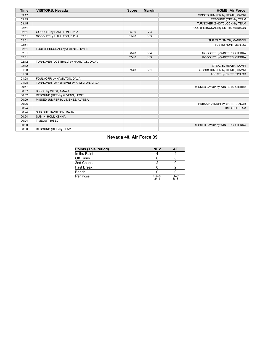| <b>Time</b> | <b>VISITORS: Nevada</b>                 | <b>Score</b> | <b>Margin</b>  | <b>HOME: Air Force</b>            |
|-------------|-----------------------------------------|--------------|----------------|-----------------------------------|
| 03:17       |                                         |              |                | MISSED JUMPER by HEATH, KAMRI     |
| 03:15       |                                         |              |                | REBOUND (OFF) by TEAM             |
| 03:15       |                                         |              |                | TURNOVER (SHOTCLOCK) by TEAM      |
| 02:51       |                                         |              |                | FOUL (PERSONAL) by SMITH, MADISON |
| 02:51       | GOOD! FT by HAMILTON, DA'JA             | 35-39        | V <sub>4</sub> |                                   |
| 02:51       | GOOD! FT by HAMILTON, DA'JA             | $35 - 40$    | V <sub>5</sub> |                                   |
| 02:51       |                                         |              |                | SUB OUT: SMITH, MADISON           |
| 02:51       |                                         |              |                | SUB IN: HUNTIMER, JO              |
| 02:31       | FOUL (PERSONAL) by JIMENEZ, KYLIE       |              |                |                                   |
| 02:31       |                                         | 36-40        | V <sub>4</sub> | GOOD! FT by WINTERS, CIERRA       |
| 02:31       |                                         | $37 - 40$    | V <sub>3</sub> | GOOD! FT by WINTERS, CIERRA       |
| 02:12       | TURNOVER (LOSTBALL) by HAMILTON, DA'JA  |              |                |                                   |
| 02:12       |                                         |              |                | STEAL by HEATH, KAMRI             |
| 01:58       |                                         | 39-40        | V <sub>1</sub> | GOOD! JUMPER by HEATH, KAMRI      |
| 01:58       |                                         |              |                | ASSIST by BRITT, TAYLOR           |
| 01:28       | FOUL (OFF) by HAMILTON, DA'JA           |              |                |                                   |
| 01:28       | TURNOVER (OFFENSIVE) by HAMILTON, DA'JA |              |                |                                   |
| 00:57       |                                         |              |                | MISSED LAYUP by WINTERS, CIERRA   |
| 00:57       | BLOCK by WEST, AMAYA                    |              |                |                                   |
| 00:52       | REBOUND (DEF) by GIVENS, LEXIE          |              |                |                                   |
| 00:29       | MISSED JUMPER by JIMENEZ, ALYSSA        |              |                |                                   |
| 00:26       |                                         |              |                | REBOUND (DEF) by BRITT, TAYLOR    |
| 00:24       |                                         |              |                | <b>TIMEOUT TEAM</b>               |
| 00:24       | SUB OUT: HAMILTON, DA'JA                |              |                |                                   |
| 00:24       | SUB IN: HOLT, KENNA                     |              |                |                                   |
| 00:24       | TIMEOUT 30SEC                           |              |                |                                   |
| 00:00       |                                         |              |                | MISSED LAYUP by WINTERS, CIERRA   |
| 00:00       | REBOUND (DEF) by TEAM                   |              |                |                                   |

# **Nevada 40, Air Force 39**

| Points (This Period) | <b>NEV</b>    | AF            |
|----------------------|---------------|---------------|
| In the Paint         |               |               |
| Off Turns            |               |               |
| 2nd Chance           |               |               |
| Fast Break           |               |               |
| Bench                |               |               |
| Per Poss             | 0.429<br>3/14 | 0.625<br>5/16 |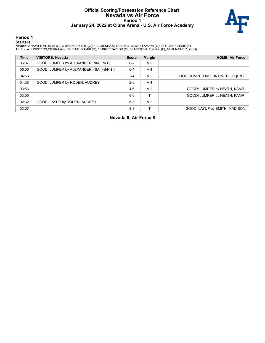#### **Official Scoring/Possession Reference Chart Nevada vs Air Force Period 1 January 24, 2022 at Clune Arena - U.S. Air Force Academy**



**Period 1**

#### **Starters:**

**Nevada**: 2 HAMILTON,DA'JA (G); 3 JIMENEZ,KYLIE (G); 12 JIMENEZ,ALYSSA (G); 13 WEST,AMAYA (G); 23 GIVENS,LEXIE (F);<br>**Air Force**: 3 WINTERS,CIERRA (G); 10 HEATH,KAMRI (G); 15 BRITT,TAYLOR (G); 33 MCDONALD,NIKKI (F); 40 HUNT

| <b>Time</b> | <b>VISITORS: Nevada</b>                 | <b>Score</b> | <b>Margin</b>  | <b>HOME: Air Force</b>             |
|-------------|-----------------------------------------|--------------|----------------|------------------------------------|
| 06:37       | GOOD! JUMPER by ALEXANDER, NIA [PNT]    | $0 - 2$      | V <sub>2</sub> |                                    |
| 06:06       | GOOD! JUMPER by ALEXANDER, NIA [FB/PNT] | $0 - 4$      | V <sub>4</sub> |                                    |
| 04:53       |                                         | $2 - 4$      | V <sub>2</sub> | GOOD! JUMPER by HUNTIMER, JO [PNT] |
| 04:38       | GOOD! JUMPER by RODEN, AUDREY           | $2-6$        | V <sub>4</sub> |                                    |
| 03:53       |                                         | $4-6$        | V <sub>2</sub> | GOOD! JUMPER by HEATH, KAMRI       |
| 03:05       |                                         | $6-6$        |                | GOOD! JUMPER by HEATH, KAMRI       |
| 02:32       | GOOD! LAYUP by RODEN, AUDREY            | $6 - 8$      | V <sub>2</sub> |                                    |
| 02:07       |                                         | $8 - 8$      |                | GOOD! LAYUP by SMITH, MADISON      |

**Nevada 8, Air Force 8**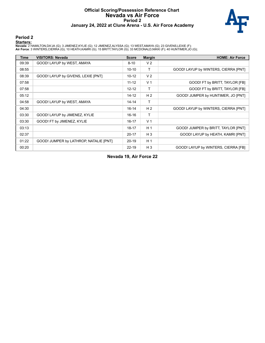#### **Official Scoring/Possession Reference Chart Nevada vs Air Force Period 2 January 24, 2022 at Clune Arena - U.S. Air Force Academy**



#### **Period 2**

#### **Starters:**

**Nevada**: 2 HAMILTON,DA'JA (G); 3 JIMENEZ,KYLIE (G); 12 JIMENEZ,ALYSSA (G); 13 WEST,AMAYA (G); 23 GIVENS,LEXIE (F);<br>**Air Force**: 3 WINTERS,CIERRA (G); 10 HEATH,KAMRI (G); 15 BRITT,TAYLOR (G); 33 MCDONALD,NIKKI (F); 40 HUNT

| Time  | <b>VISITORS: Nevada</b>                | <b>Score</b> | <b>Margin</b>  | <b>HOME: Air Force</b>               |
|-------|----------------------------------------|--------------|----------------|--------------------------------------|
| 09:39 | GOOD! LAYUP by WEST, AMAYA             | $8 - 10$     | V <sub>2</sub> |                                      |
| 08:55 |                                        | $10 - 10$    | Τ              | GOOD! LAYUP by WINTERS, CIERRA [PNT] |
| 08:39 | GOOD! LAYUP by GIVENS, LEXIE [PNT]     | $10 - 12$    | V <sub>2</sub> |                                      |
| 07:58 |                                        | $11 - 12$    | V <sub>1</sub> | GOOD! FT by BRITT, TAYLOR [FB]       |
| 07:58 |                                        | $12 - 12$    | T              | GOOD! FT by BRITT, TAYLOR [FB]       |
| 05:12 |                                        | 14-12        | H <sub>2</sub> | GOOD! JUMPER by HUNTIMER, JO [PNT]   |
| 04:58 | GOOD! LAYUP by WEST, AMAYA             | 14-14        | T              |                                      |
| 04:30 |                                        | $16-14$      | H <sub>2</sub> | GOOD! LAYUP by WINTERS, CIERRA [PNT] |
| 03:30 | GOOD! LAYUP by JIMENEZ, KYLIE          | $16-16$      | T              |                                      |
| 03:30 | GOOD! FT by JIMENEZ, KYLIE             | $16 - 17$    | V <sub>1</sub> |                                      |
| 03:13 |                                        | $18 - 17$    | H <sub>1</sub> | GOOD! JUMPER by BRITT, TAYLOR [PNT]  |
| 02:37 |                                        | $20 - 17$    | $H_3$          | GOOD! LAYUP by HEATH, KAMRI [PNT]    |
| 01:22 | GOOD! JUMPER by LATHROP, NATALIE [PNT] | $20 - 19$    | H <sub>1</sub> |                                      |
| 00:20 |                                        | $22 - 19$    | $H_3$          | GOOD! LAYUP by WINTERS, CIERRA [FB]  |

**Nevada 19, Air Force 22**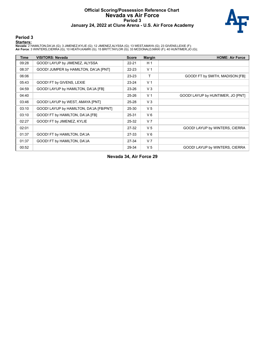#### **Official Scoring/Possession Reference Chart Nevada vs Air Force Period 3 January 24, 2022 at Clune Arena - U.S. Air Force Academy**



#### **Period 3**

#### **Starters:**

**Nevada**: 2 HAMILTON,DA'JA (G); 3 JIMENEZ,KYLIE (G); 12 JIMENEZ,ALYSSA (G); 13 WEST,AMAYA (G); 23 GIVENS,LEXIE (F);<br>**Air Force**: 3 WINTERS,CIERRA (G); 10 HEATH,KAMRI (G); 15 BRITT,TAYLOR (G); 33 MCDONALD,NIKKI (F); 40 HUNT

| <b>Time</b> | <b>VISITORS: Nevada</b>                 | <b>Score</b> | <b>Margin</b>  | <b>HOME: Air Force</b>            |
|-------------|-----------------------------------------|--------------|----------------|-----------------------------------|
| 09:28       | GOOD! LAYUP by JIMENEZ, ALYSSA          | $22 - 21$    | H <sub>1</sub> |                                   |
| 08:37       | GOOD! JUMPER by HAMILTON, DA'JA [PNT]   | $22 - 23$    | V <sub>1</sub> |                                   |
| 06:06       |                                         | $23 - 23$    | т              | GOOD! FT by SMITH, MADISON [FB]   |
| 05:43       | GOOD! FT by GIVENS, LEXIE               | $23 - 24$    | V <sub>1</sub> |                                   |
| 04:59       | GOOD! LAYUP by HAMILTON, DA'JA [FB]     | 23-26        | $V_3$          |                                   |
| 04:40       |                                         | $25 - 26$    | V <sub>1</sub> | GOOD! LAYUP by HUNTIMER, JO [PNT] |
| 03:46       | GOOD! LAYUP by WEST, AMAYA [PNT]        | $25 - 28$    | $V_3$          |                                   |
| 03:10       | GOOD! LAYUP by HAMILTON, DA'JA [FB/PNT] | 25-30        | V <sub>5</sub> |                                   |
| 03:10       | GOOD! FT by HAMILTON, DA'JA [FB]        | 25-31        | $V_6$          |                                   |
| 02:27       | GOOD! FT by JIMENEZ, KYLIE              | 25-32        | V <sub>7</sub> |                                   |
| 02:01       |                                         | 27-32        | V <sub>5</sub> | GOOD! LAYUP by WINTERS, CIERRA    |
| 01:37       | GOOD! FT by HAMILTON, DA'JA             | 27-33        | $V_6$          |                                   |
| 01:37       | GOOD! FT by HAMILTON, DA'JA             | 27-34        | V <sub>7</sub> |                                   |
| 00:52       |                                         | 29-34        | V <sub>5</sub> | GOOD! LAYUP by WINTERS, CIERRA    |

**Nevada 34, Air Force 29**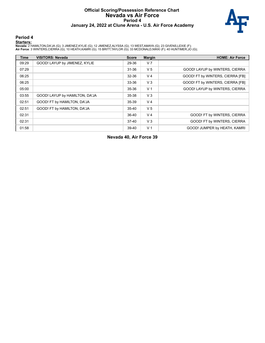#### **Official Scoring/Possession Reference Chart Nevada vs Air Force Period 4 January 24, 2022 at Clune Arena - U.S. Air Force Academy**



#### **Period 4**

#### **Starters:**

**Nevada**: 2 HAMILTON,DA'JA (G); 3 JIMENEZ,KYLIE (G); 12 JIMENEZ,ALYSSA (G); 13 WEST,AMAYA (G); 23 GIVENS,LEXIE (F);<br>**Air Force**: 3 WINTERS,CIERRA (G); 10 HEATH,KAMRI (G); 15 BRITT,TAYLOR (G); 33 MCDONALD,NIKKI (F); 40 HUNT

| <b>Time</b> | <b>VISITORS: Nevada</b>        | <b>Score</b> | <b>Margin</b>  | <b>HOME: Air Force</b>           |
|-------------|--------------------------------|--------------|----------------|----------------------------------|
| 09:29       | GOOD! LAYUP by JIMENEZ, KYLIE  | 29-36        | V <sub>7</sub> |                                  |
| 07:29       |                                | $31 - 36$    | V <sub>5</sub> | GOOD! LAYUP by WINTERS, CIERRA   |
| 06:25       |                                | 32-36        | V <sub>4</sub> | GOOD! FT by WINTERS, CIERRA [FB] |
| 06:25       |                                | 33-36        | $V_3$          | GOOD! FT by WINTERS, CIERRA [FB] |
| 05:00       |                                | 35-36        | V <sub>1</sub> | GOOD! LAYUP by WINTERS, CIERRA   |
| 03:55       | GOOD! LAYUP by HAMILTON, DA'JA | 35-38        | V <sub>3</sub> |                                  |
| 02:51       | GOOD! FT by HAMILTON, DA'JA    | 35-39        | V <sub>4</sub> |                                  |
| 02:51       | GOOD! FT by HAMILTON, DA'JA    | $35 - 40$    | V <sub>5</sub> |                                  |
| 02:31       |                                | 36-40        | V <sub>4</sub> | GOOD! FT by WINTERS, CIERRA      |
| 02:31       |                                | $37-40$      | $V_3$          | GOOD! FT by WINTERS, CIERRA      |
| 01:58       |                                | 39-40        | V <sub>1</sub> | GOOD! JUMPER by HEATH, KAMRI     |

**Nevada 40, Air Force 39**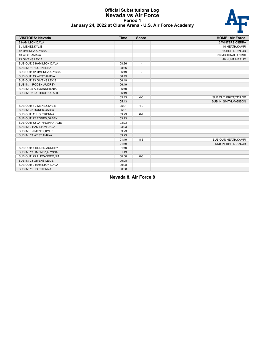#### **Official Substitutions Log Nevada vs Air Force Period 1 January 24, 2022 at Clune Arena - U.S. Air Force Academy**



| <b>VISITORS: Nevada</b>      | <b>Time</b> | <b>Score</b>             | <b>HOME: Air Force</b> |
|------------------------------|-------------|--------------------------|------------------------|
| 2 HAMILTON, DA'JA            |             |                          | 3 WINTERS, CIERRA      |
| 3 JIMENEZ, KYLIE             |             |                          | 10 HEATH, KAMRI        |
| 12 JIMENEZ, ALYSSA           |             |                          | 15 BRITT, TAYLOR       |
| 13 WEST, AMAYA               |             |                          | 33 MCDONALD, NIKKI     |
| 23 GIVENS, LEXIE             |             |                          | 40 HUNTIMER, JO        |
| SUB OUT: 2 HAMILTON, DA'JA   | 08:36       | $\blacksquare$           |                        |
| SUB IN: 11 HOLT, KENNA       | 08:36       |                          |                        |
| SUB OUT: 12 JIMENEZ, ALYSSA  | 06:49       | $\overline{\phantom{a}}$ |                        |
| SUB OUT: 13 WEST, AMAYA      | 06:49       |                          |                        |
| SUB OUT: 23 GIVENS, LEXIE    | 06:49       |                          |                        |
| SUB IN: 4 RODEN, AUDREY      | 06:49       |                          |                        |
| SUB IN: 25 ALEXANDER, NIA    | 06:49       |                          |                        |
| SUB IN: 52 LATHROP, NATALIE  | 06:49       |                          |                        |
|                              | 05:43       | $4 - 0$                  | SUB OUT: BRITT, TAYLOR |
|                              | 05:43       |                          | SUB IN: SMITH, MADISON |
| SUB OUT: 3 JIMENEZ, KYLIE    | 05:01       | $4 - 0$                  |                        |
| SUB IN: 22 RONES, GABBY      | 05:01       |                          |                        |
| SUB OUT: 11 HOLT, KENNA      | 03:23       | $6 - 4$                  |                        |
| SUB OUT: 22 RONES, GABBY     | 03:23       |                          |                        |
| SUB OUT: 52 LATHROP, NATALIE | 03:23       |                          |                        |
| SUB IN: 2 HAMILTON, DA'JA    | 03:23       |                          |                        |
| SUB IN: 3 JIMENEZ, KYLIE     | 03:23       |                          |                        |
| SUB IN: 13 WEST, AMAYA       | 03:23       |                          |                        |
|                              | 01:49       | $8 - 8$                  | SUB OUT: HEATH, KAMRI  |
|                              | 01:49       |                          | SUB IN: BRITT, TAYLOR  |
| SUB OUT: 4 RODEN.AUDREY      | 01:49       |                          |                        |
| SUB IN: 12 JIMENEZ, ALYSSA   | 01:49       |                          |                        |
| SUB OUT: 25 ALEXANDER, NIA   | 00:08       | $8 - 8$                  |                        |
| SUB IN: 23 GIVENS, LEXIE     | 00:08       |                          |                        |
| SUB OUT: 2 HAMILTON, DA'JA   | 00:08       |                          |                        |
| SUB IN: 11 HOLT, KENNA       | 00:08       |                          |                        |

**Nevada 8, Air Force 8**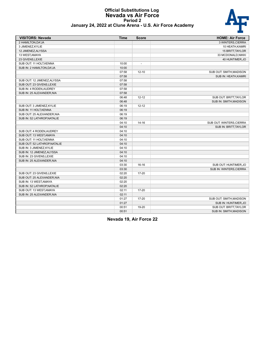#### **Official Substitutions Log Nevada vs Air Force Period 2 January 24, 2022 at Clune Arena - U.S. Air Force Academy**



| January 24, 2022 at Clune Arena - U.S. Air Force Academy |  |  |  |
|----------------------------------------------------------|--|--|--|
|----------------------------------------------------------|--|--|--|

| <b>VISITORS: Nevada</b>      | <b>Time</b> | <b>Score</b>   | <b>HOME: Air Force</b>        |
|------------------------------|-------------|----------------|-------------------------------|
| 2 HAMILTON, DA'JA            |             |                | 3 WINTERS, CIERRA             |
| 3 JIMENEZ, KYLIE             |             |                | 10 HEATH, KAMRI               |
| 12 JIMENEZ, ALYSSA           |             |                | 15 BRITT, TAYLOR              |
| 13 WEST, AMAYA               |             |                | 33 MCDONALD, NIKKI            |
| 23 GIVENS, LEXIE             |             |                | 40 HUNTIMER, JO               |
| SUB OUT: 11 HOLT, KENNA      | 10:00       | $\blacksquare$ |                               |
| SUB IN: 2 HAMILTON, DA'JA    | 10:00       |                |                               |
|                              | 07:58       | $12 - 10$      | SUB OUT: SMITH, MADISON       |
|                              | 07:58       |                | SUB IN: HEATH, KAMRI          |
| SUB OUT: 12 JIMENEZ, ALYSSA  | 07:58       |                |                               |
| SUB OUT: 23 GIVENS, LEXIE    | 07:58       |                |                               |
| SUB IN: 4 RODEN, AUDREY      | 07:58       |                |                               |
| SUB IN: 25 ALEXANDER, NIA    | 07:58       |                |                               |
|                              | 06:48       | $12 - 12$      | SUB OUT: BRITT, TAYLOR        |
|                              | 06:48       |                | <b>SUB IN: SMITH, MADISON</b> |
| SUB OUT: 3 JIMENEZ, KYLIE    | 06:19       | $12 - 12$      |                               |
| SUB IN: 11 HOLT KENNA        | 06:19       |                |                               |
| SUB OUT: 25 ALEXANDER, NIA   | 06:19       |                |                               |
| SUB IN: 52 LATHROP, NATALIE  | 06:19       |                |                               |
|                              | 04:10       | $14 - 16$      | SUB OUT: WINTERS, CIERRA      |
|                              | 04:10       |                | SUB IN: BRITT, TAYLOR         |
| SUB OUT: 4 RODEN, AUDREY     | 04:10       |                |                               |
| SUB OUT: 13 WEST, AMAYA      | 04:10       |                |                               |
| SUB OUT: 11 HOLT, KENNA      | 04:10       |                |                               |
| SUB OUT: 52 LATHROP, NATALIE | 04:10       |                |                               |
| SUB IN: 3 JIMENEZ, KYLIE     | 04:10       |                |                               |
| SUB IN: 12 JIMENEZ, ALYSSA   | 04:10       |                |                               |
| SUB IN: 23 GIVENS, LEXIE     | 04:10       |                |                               |
| SUB IN: 25 ALEXANDER, NIA    | 04:10       |                |                               |
|                              | 03:30       | $16 - 16$      | SUB OUT: HUNTIMER,JO          |
|                              | 03:30       |                | SUB IN: WINTERS, CIERRA       |
| SUB OUT: 23 GIVENS, LEXIE    | 02:20       | 17-20          |                               |
| SUB OUT: 25 ALEXANDER, NIA   | 02:20       |                |                               |
| SUB IN: 13 WEST, AMAYA       | 02:20       |                |                               |
| SUB IN: 52 LATHROP, NATALIE  | 02:20       |                |                               |
| SUB OUT: 13 WEST, AMAYA      | 02:11       | 17-20          |                               |
| SUB IN: 25 ALEXANDER, NIA    | 02:11       |                |                               |
|                              | 01:27       | 17-20          | SUB OUT: SMITH, MADISON       |
|                              | 01:27       |                | SUB IN: HUNTIMER, JO          |
|                              | 00:51       | 19-20          | SUB OUT: BRITT, TAYLOR        |
|                              | 00:51       |                | <b>SUB IN: SMITH, MADISON</b> |

**Nevada 19, Air Force 22**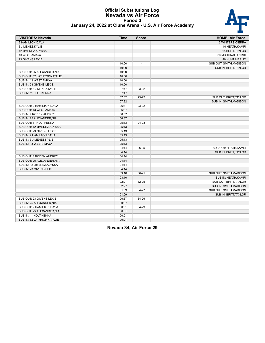#### **Official Substitutions Log Nevada vs Air Force Period 3 January 24, 2022 at Clune Arena - U.S. Air Force Academy**

| <b>VISITORS: Nevada</b>      | Time  | <b>Score</b>             | <b>HOME: Air Force</b>  |
|------------------------------|-------|--------------------------|-------------------------|
| 2 HAMILTON, DA'JA            |       |                          | 3 WINTERS, CIERRA       |
| 3 JIMENEZ.KYLIE              |       |                          | 10 HEATH, KAMRI         |
| 12 JIMENEZ, ALYSSA           |       |                          | 15 BRITT, TAYLOR        |
| 13 WEST, AMAYA               |       |                          | 33 MCDONALD, NIKKI      |
| 23 GIVENS, LEXIE             |       |                          | 40 HUNTIMER, JO         |
|                              | 10:00 | $\overline{\phantom{a}}$ | SUB OUT: SMITH, MADISON |
|                              | 10:00 |                          | SUB IN: BRITT, TAYLOR   |
| SUB OUT: 25 ALEXANDER, NIA   | 10:00 |                          |                         |
| SUB OUT: 52 LATHROP, NATALIE | 10:00 |                          |                         |
| SUB IN: 13 WEST, AMAYA       | 10:00 |                          |                         |
| SUB IN: 23 GIVENS, LEXIE     | 10:00 |                          |                         |
| SUB OUT: 3 JIMENEZ, KYLIE    | 07:47 | $23-22$                  |                         |
| SUB IN: 11 HOLT, KENNA       | 07:47 |                          |                         |
|                              | 07:32 | 23-22                    | SUB OUT: BRITT, TAYLOR  |
|                              | 07:32 |                          | SUB IN: SMITH, MADISON  |
| SUB OUT: 2 HAMILTON, DA'JA   | 06:37 | 23-22                    |                         |
| SUB OUT: 13 WEST, AMAYA      | 06:37 |                          |                         |
| SUB IN: 4 RODEN, AUDREY      | 06:37 |                          |                         |
| SUB IN: 25 ALEXANDER, NIA    | 06:37 |                          |                         |
| SUB OUT: 11 HOLT, KENNA      | 05:13 | 24-23                    |                         |
| SUB OUT: 12 JIMENEZ, ALYSSA  | 05:13 |                          |                         |
| SUB OUT: 23 GIVENS, LEXIE    | 05:13 |                          |                         |
| SUB IN: 2 HAMILTON, DA'JA    | 05:13 |                          |                         |
| SUB IN: 3 JIMENEZ, KYLIE     | 05:13 |                          |                         |
| SUB IN: 13 WEST, AMAYA       | 05:13 |                          |                         |
|                              | 04:14 | 26-25                    | SUB OUT: HEATH, KAMRI   |
|                              | 04:14 |                          | SUB IN: BRITT, TAYLOR   |
| SUB OUT: 4 RODEN, AUDREY     | 04:14 |                          |                         |
| SUB OUT: 25 ALEXANDER, NIA   | 04:14 |                          |                         |
| SUB IN: 12 JIMENEZ, ALYSSA   | 04:14 |                          |                         |
| SUB IN: 23 GIVENS, LEXIE     | 04:14 |                          |                         |
|                              | 03:10 | $30 - 25$                | SUB OUT: SMITH, MADISON |
|                              | 03:10 |                          | SUB IN: HEATH, KAMRI    |
|                              | 02:27 | 32-25                    | SUB OUT: BRITT, TAYLOR  |
|                              | 02:27 |                          | SUB IN: SMITH, MADISON  |
|                              | 01:09 | 34-27                    | SUB OUT: SMITH, MADISON |
|                              | 01:09 |                          | SUB IN: BRITT, TAYLOR   |
| SUB OUT: 23 GIVENS, LEXIE    | 00:37 | 34-29                    |                         |
| SUB IN: 25 ALEXANDER, NIA    | 00:37 |                          |                         |
| SUB OUT: 2 HAMILTON, DA'JA   | 00:01 | 34-29                    |                         |
| SUB OUT: 25 ALEXANDER, NIA   | 00:01 |                          |                         |
| SUB IN: 11 HOLT.KENNA        | 00:01 |                          |                         |
| SUB IN: 52 LATHROP, NATALIE  | 00:01 |                          |                         |
|                              |       |                          |                         |

**Nevada 34, Air Force 29**